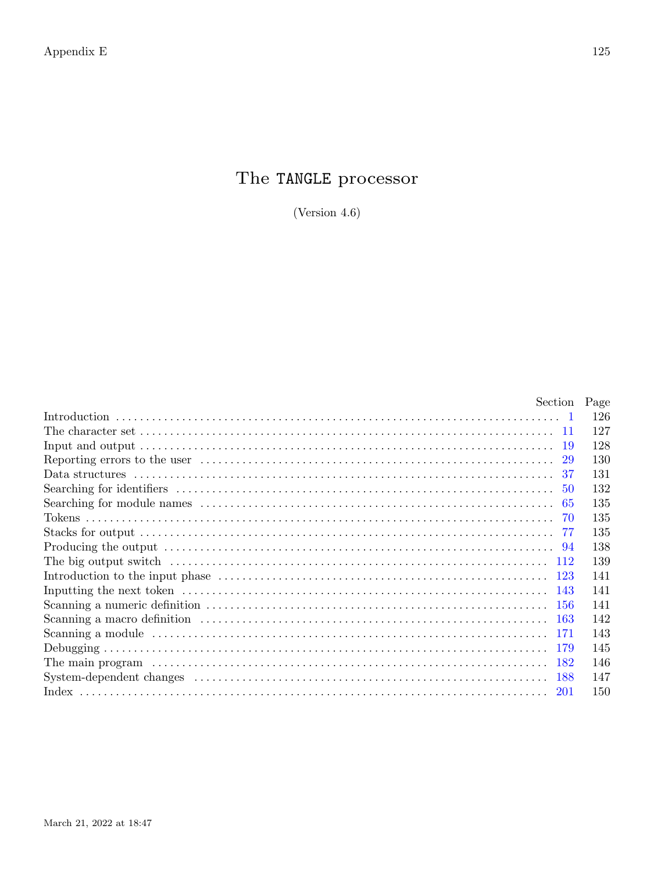# The TANGLE processor

(Version  $4.6$ )

| Section Page                                                                                                                                                               |     |
|----------------------------------------------------------------------------------------------------------------------------------------------------------------------------|-----|
|                                                                                                                                                                            | 126 |
| The character set $\ldots$ $\ldots$ $\ldots$ $\ldots$ $\ldots$ $\ldots$ $\ldots$ $\ldots$ $\ldots$ $\ldots$ $\ldots$ $\ldots$ $\ldots$ $\ldots$ $\ldots$ $\ldots$ $\ldots$ | 127 |
|                                                                                                                                                                            | 128 |
| -29                                                                                                                                                                        | 130 |
| 37                                                                                                                                                                         | 131 |
|                                                                                                                                                                            | 132 |
|                                                                                                                                                                            | 135 |
|                                                                                                                                                                            | 135 |
|                                                                                                                                                                            | 135 |
|                                                                                                                                                                            | 138 |
|                                                                                                                                                                            | 139 |
|                                                                                                                                                                            | 141 |
|                                                                                                                                                                            | 141 |
|                                                                                                                                                                            | 141 |
|                                                                                                                                                                            | 142 |
|                                                                                                                                                                            | 143 |
|                                                                                                                                                                            | 145 |
|                                                                                                                                                                            | 146 |
|                                                                                                                                                                            | 147 |
| 201                                                                                                                                                                        | 150 |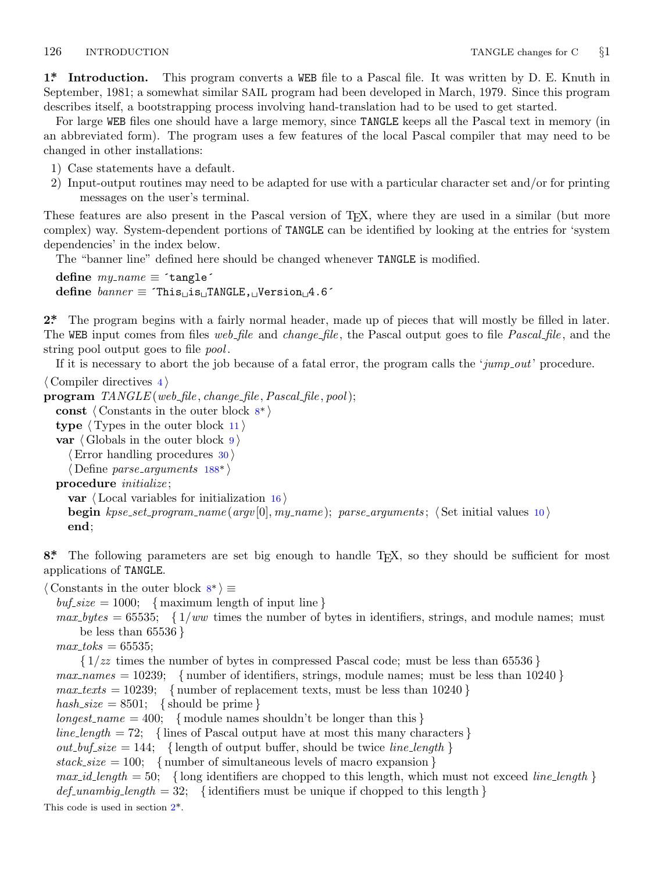<span id="page-1-0"></span>**1\*. Introduction.** This program converts a WEB file to a Pascal file. It was written by D. E. Knuth in September, 1981; a somewhat similar SAIL program had been developed in March, 1979. Since this program describes itself, a bootstrapping process involving hand-translation had to be used to get started.

For large WEB files one should have a large memory, since TANGLE keeps all the Pascal text in memory (in an abbreviated form). The program uses a few features of the local Pascal compiler that may need to be changed in other installations:

- 1) Case statements have a default.
- 2) Input-output routines may need to be adapted for use with a particular character set and/or for printing messages on the user's terminal.

These features are also present in the Pascal version of TEX, where they are used in a similar (but more complex) way. System-dependent portions of TANGLE can be identified by looking at the entries for 'system dependencies' in the index below.

The "banner line" defined here should be changed whenever TANGLE is modified.

```
define \, my_name \equiv 'tangle'define banner ≡ ´This␣is␣TANGLE,␣Version␣4.6´
```
**2\*.** The program begins with a fairly normal header, made up of pieces that will mostly be filled in later. The WEB input comes from files *web file* and *change file* , the Pascal output goes to file *Pascal file* , and the string pool output goes to file *pool* .

If it is necessary to abort the job because of a fatal error, the program calls the '*jump out*' procedure.

*⟨* Compiler directives 4 *⟩* **program** *TANGLE* (*web file , change file ,Pascal file , pool*); **const** *⟨* Constants in the outer block 8\* *⟩* **type** *⟨* Types in the outer block 11 *⟩* **var** *⟨* Globals in the outer block 9 *⟩ ⟨*Error handling procedures 30 *⟩ ⟨* Define *parse arguments* 188\* *⟩* **procedure** *initialize* ; **var** *⟨* Local variables for initialization 16 *⟩* **begin** *kpse set program name* (*argv* [0]*, my name* ); *parse arguments* ; *⟨* Set initial values 10 *⟩* **end**;

8<sup>\*</sup>. The following parameters are set big enough to handle T<sub>E</sub>X, so they should be sufficient for most applications of TANGLE.

*⟨* Constants in the outer block 8\* *⟩ ≡*

 $\text{buf\_size} = 1000; \text{ { maximum length of input line }}$ 

 $max_b \, y \, t \leq 65535;$  { $1/ww$  times the number of bytes in identifiers, strings, and module names; must be less than 65536 *}*

 $max\_toks = 65535;$ 

*{* 1*/zz* times the number of bytes in compressed Pascal code; must be less than 65536 *}*  $max\_names = 10239;$  {number of identifiers, strings, module names; must be less than 10240 }  $max\_texts = 10239$ ; {number of replacement texts, must be less than 10240 }  $hash\_size = 8501;$  {should be prime }  $longest_name = 400;$  {module names shouldn't be longer than this } *line\_length* = 72; {lines of Pascal output have at most this many characters }  $out\_buf\_size = 144$ ; {length of output buffer, should be twice *line\_length* }  $stack_size = 100; \{ number of simultaneous levels of macro expansion \}$  $max_id_length = 50;$  {long identifiers are chopped to this length, which must not exceed *line\_length* }  $def\_unambig_length = 32;$  {identifiers must be unique if chopped to this length } This code is used in section 2\*.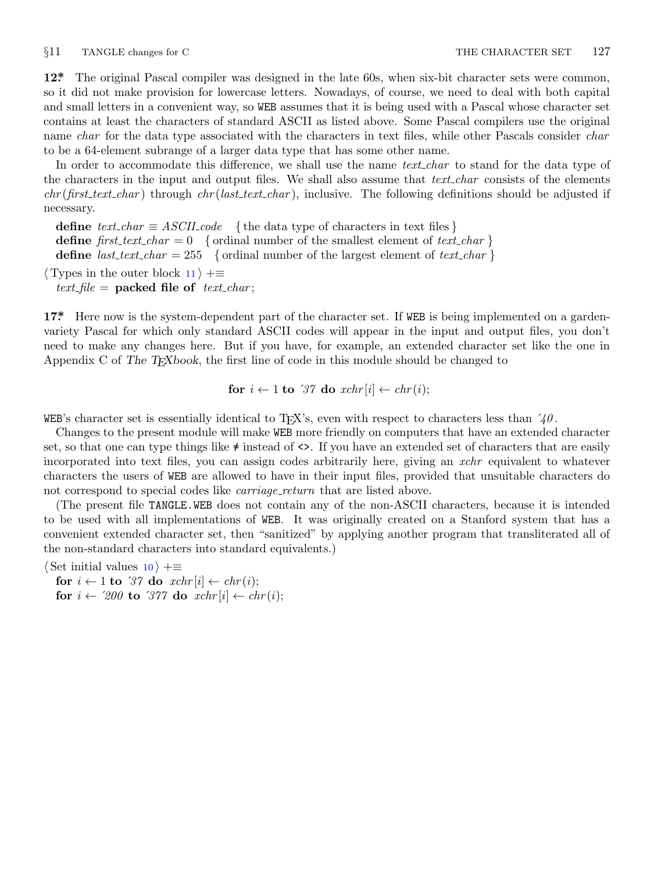<span id="page-2-0"></span>

**12\*.** The original Pascal compiler was designed in the late 60s, when six-bit character sets were common, so it did not make provision for lowercase letters. Nowadays, of course, we need to deal with both capital and small letters in a convenient way, so WEB assumes that it is being used with a Pascal whose character set contains at least the characters of standard ASCII as listed above. Some Pascal compilers use the original name *char* for the data type associated with the characters in text files, while other Pascals consider *char* to be a 64-element subrange of a larger data type that has some other name.

In order to accommodate this difference, we shall use the name *text\_char* to stand for the data type of the characters in the input and output files. We shall also assume that *text char* consists of the elements *chr* (*first text char* ) through *chr* (*last text char* ), inclusive. The following definitions should be adjusted if necessary.

**define**  $text\_text\_char \equiv ASCII\_code$  { the data type of characters in text files } **define**  $first\_text\_char = 0$  {ordinal number of the smallest element of  $text\_char \}$ } **define** *last\_text\_char* = 255 { ordinal number of the largest element of *text\_char* }

*⟨* Types in the outer block 11 *⟩* +*≡*

 $text$  *file* = **packed file of**  $text$  $text$  $text$  $text$  $text$  $text$  $text$ 

**17\*.** Here now is the system-dependent part of the character set. If WEB is being implemented on a gardenvariety Pascal for which only standard ASCII codes will appear in the input and output files, you don't need to make any changes here. But if you have, for example, an extended character set like the one in Appendix C of *The TEXbook*, the first line of code in this module should be changed to

for 
$$
i \leftarrow 1
$$
 to '37 do  $xchr[i] \leftarrow chr(i);$ 

WEB's character set is essentially identical to T<sub>E</sub>X's, even with respect to characters less than  $\angle \theta$ .

Changes to the present module will make WEB more friendly on computers that have an extended character set, so that one can type things like  $\neq$  instead of  $\lt\gt$ . If you have an extended set of characters that are easily incorporated into text files, you can assign codes arbitrarily here, giving an *xchr* equivalent to whatever characters the users of WEB are allowed to have in their input files, provided that unsuitable characters do not correspond to special codes like *carriage\_return* that are listed above.

(The present file TANGLE.WEB does not contain any of the non-ASCII characters, because it is intended to be used with all implementations of WEB. It was originally created on a Stanford system that has a convenient extended character set, then "sanitized" by applying another program that transliterated all of the non-standard characters into standard equivalents.)

*⟨* Set initial values 10 *⟩* +*≡*

**for**  $i \leftarrow 1$  **to** '37 **do**  $xchr[i] \leftarrow chr(i);$ **for**  $i \leftarrow 200$  **to**  $377$  **do**  $xchr[i] \leftarrow chr(i);$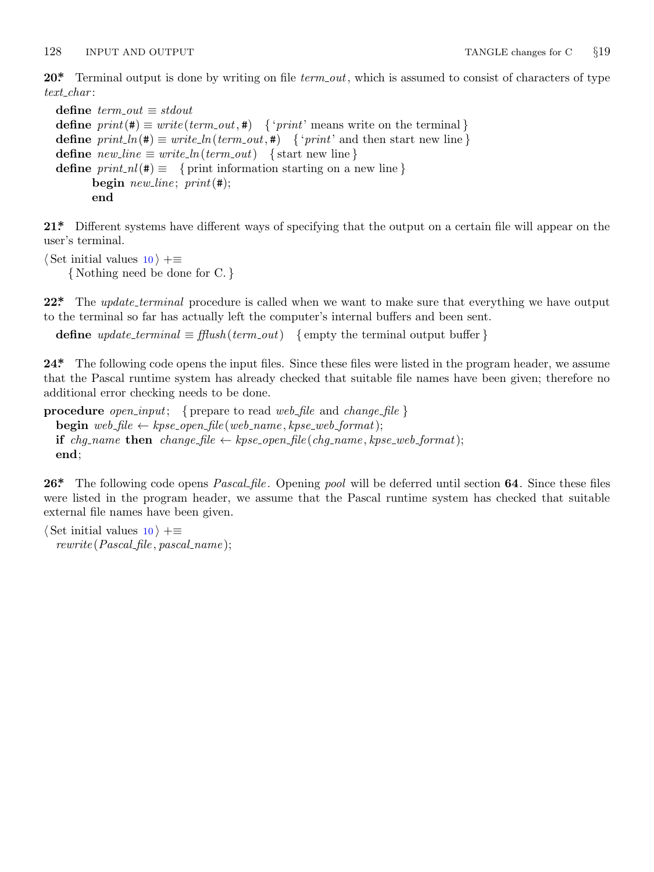<span id="page-3-0"></span>128 INPUT AND OUTPUT TANGLE changes for C *§*19

**20\*.** Terminal output is done by writing on file *term out*, which is assumed to consist of characters of type *text char* :

```
define \; term\_out \equiv stdoutdefine print(\textbf{\#}) \equiv write(term\_out, \textbf{\#}) { 'print' means write on the terminal }
define print\ln(\textbf{#}) \equiv write\ln(term\text{ }out,\textbf{#}) { 'print' and then start new line }
\text{define } new\text{-}line \equiv write\text{-}ln(term\text{-}out) \quad \text{{\{ start new line\}}}define print\_nl(\textbf{\#}) \equiv \{ print information starting on a new line \}begin new line ; print(#);
         end
```
**21\*.** Different systems have different ways of specifying that the output on a certain file will appear on the user's terminal.

*⟨* Set initial values 10 *⟩* +*≡ {* Nothing need be done for C. *}*

**22\*.** The *update terminal* procedure is called when we want to make sure that everything we have output to the terminal so far has actually left the computer's internal buffers and been sent.

**define**  $update\_terminal \equiv \text{fftush}(term\_out)$  {empty the terminal output buffer }

**24\*.** The following code opens the input files. Since these files were listed in the program header, we assume that the Pascal runtime system has already checked that suitable file names have been given; therefore no additional error checking needs to be done.

```
procedure open input; { prepare to read web file and change file }
   \mathbf{begin} \n\text{begin} \nwe \text{ }\n\text{left} \leftarrow \text{ } k p s e \text{.} open \text{.} file (web_name, k p s e \text{.} web \text{.} format);if chg_name then change file \leftarrow kpse.open file (chg_name, kpse_ web format);
   end;
```
**26\*.** The following code opens *Pascal file* . Opening *pool* will be deferred until section **64**. Since these files were listed in the program header, we assume that the Pascal runtime system has checked that suitable external file names have been given.

*⟨* Set initial values 10 *⟩* +*≡ rewrite* (*Pascal file , pascal name* );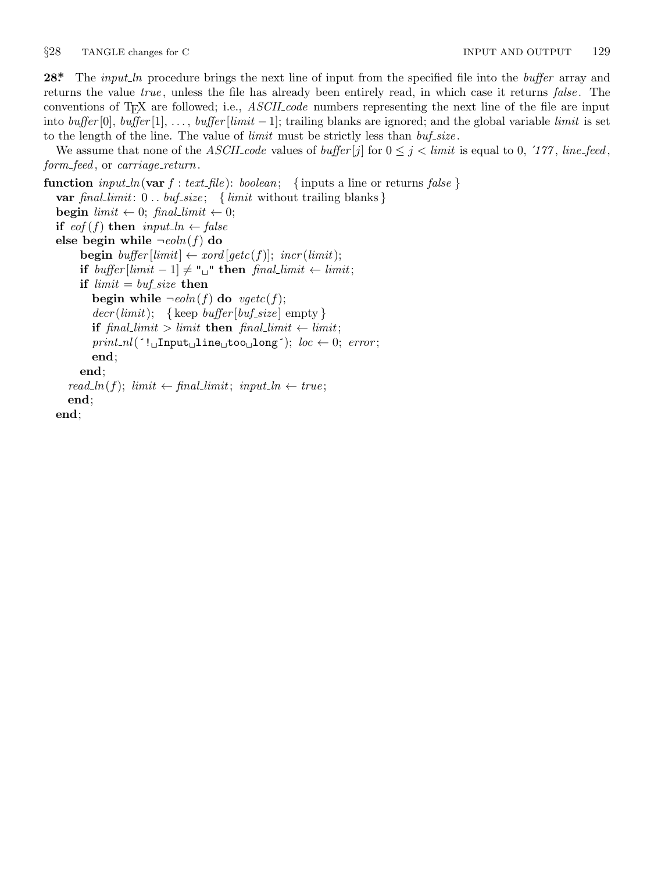<span id="page-4-0"></span>**28\*.** The *input ln* procedure brings the next line of input from the specified file into the *buffer* array and returns the value *true* , unless the file has already been entirely read, in which case it returns *false* . The conventions of TEX are followed; i.e., *ASCII code* numbers representing the next line of the file are input into *buffer* [0], *buffer* [1], *. . .* , *buffer* [*limit −* 1]; trailing blanks are ignored; and the global variable *limit* is set to the length of the line. The value of *limit* must be strictly less than *buf size* .

We assume that none of the *ASCII code* values of *buffer* [*j*] for  $0 \leq j \leq limit$  is equal to 0, '177, *line feed*, *form feed* , or *carriage return*.

**function**  $input\_ln(\text{var } f: text\_file): boolean; \{ inputs a line or returns false \}$ **var** *final limit*: 0 *. . buf size* ; *{ limit* without trailing blanks *}* **begin**  $limit \leftarrow 0$ ;  $final\_limit \leftarrow 0$ ; **if**  $e^{of(f)}$  **then**  $input\_ln \leftarrow false$ **else begin while**  $\neg$ *eoln*(*f*) **do begin**  $buffer$  [limit]  $\leftarrow xord$  [ $getc(f)$ ];  $incr (limit)$ ; **if**  $buffer[limit -1] ≠ "□"$  **then**  $final-limit ← limit;$ **if**  $limit = but\_size$  **then begin while**  $\neg$ *eoln*(*f*) **do**  $\neg$ *egetc*(*f*);  $decr (limit);$  {keep *buffer* [*buf\_size*] empty } **if**  $\text{final\_limit} > \text{limit}$  **then**  $\text{final\_limit} \leftarrow \text{limit}$ ;  $print\_nl$ <sup>( $\cdot$ ! $\Box$ Input $\Box$ line $\Box$ too $\Box$ long<sup>-</sup>); *loc*  $\leftarrow$  0; *error*;</sup> **end**; **end**; *read\_ln*(*f*);  $limit \leftarrow final\_limit$ ; *input\_ln*  $\leftarrow true$ ; **end**;

**end**;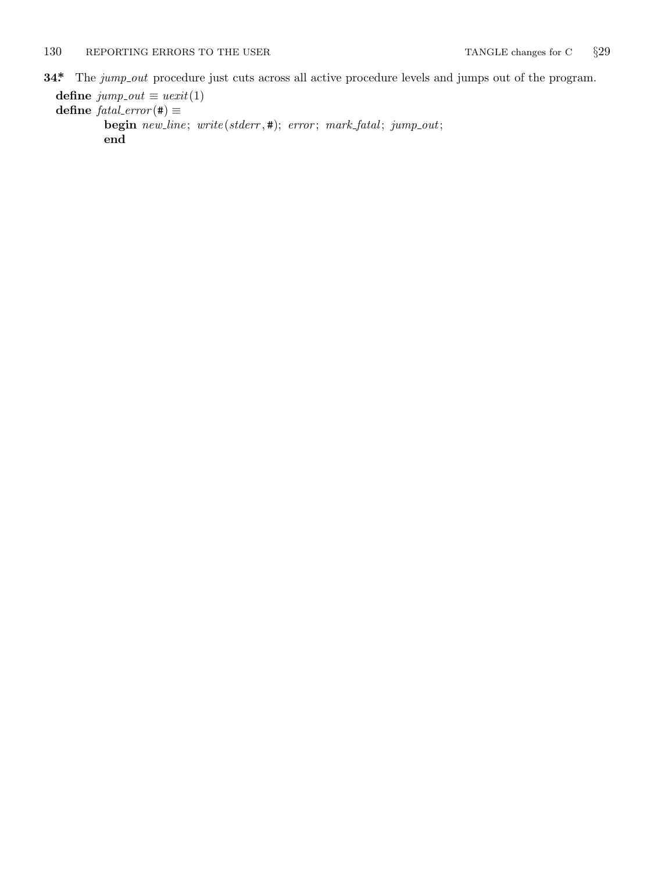<span id="page-5-0"></span>**34\*** The *jump\_out* procedure just cuts across all active procedure levels and jumps out of the program.

```
define jump\_out \equiv \text{uexit}(1)\textbf{define } \textit{fatal\_error}(\textbf{\#}) \equivbegin new line ; write (stderr , #); error ; mark fatal ; jump out;
            end
```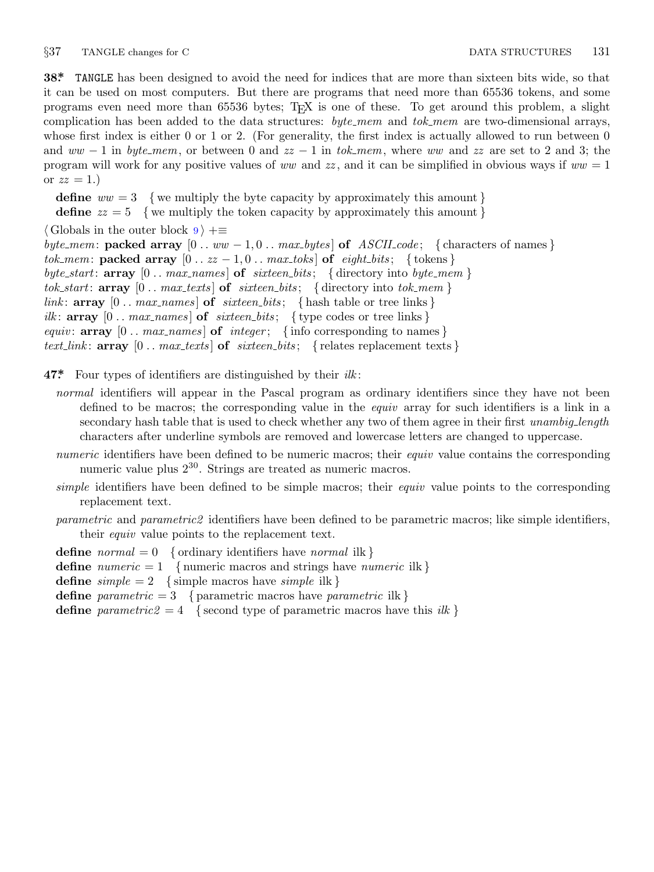<span id="page-6-0"></span>*§*37 TANGLE changes for C DATA STRUCTURES 131

**38\*.** TANGLE has been designed to avoid the need for indices that are more than sixteen bits wide, so that it can be used on most computers. But there are programs that need more than 65536 tokens, and some programs even need more than 65536 bytes; TEX is one of these. To get around this problem, a slight complication has been added to the data structures: *byte mem* and *tok mem* are two-dimensional arrays, whose first index is either 0 or 1 or 2. (For generality, the first index is actually allowed to run between 0 and *ww −* 1 in *byte mem*, or between 0 and *zz −* 1 in *tok mem*, where *ww* and *zz* are set to 2 and 3; the program will work for any positive values of *ww* and *zz* , and it can be simplified in obvious ways if *ww* = 1 or  $zz = 1.$ )

**define**  $ww = 3$  {we multiply the byte capacity by approximately this amount } **define**  $zz = 5$  {we multiply the token capacity by approximately this amount } *⟨* Globals in the outer block 9 *⟩* +*≡ byte\_mem*: **packed array**  $[0 \tcdot ww - 1, 0 \tcdot max_bytes]$  of *ASCII\_code*; {characters of names} *tok\_mem*: **packed array**  $[0 \, . \, zz - 1, 0 \, . \, max\_toks]$  of *eight\_bits*; {tokens}  $byte\_start$ : **array**  $[0 \tcdot \t{max\_names} \t{of} *sixteen\_bits*; \t{directory into *byte\_mem*}$  $tok\_start$ : **array**  $[0 \t ... \t max\_texts]$  of  $sitteen\_bits$ ; {directory into  $tok\_mem$ } *link*:  $\text{array}$  [0 . *max\_names*] **of** *sixteen\_bits*; { hash table or tree links } *ilk*:  $\text{array}$  [0 . *max\_names*] **of** *sixteen\_bits*; { type codes or tree links } *equiv*:  $\arctan 0$ . *max\_names*  $\arctan 0$  *of integer*;  $\{\text{info corresponding to names}\}$ *text\_link*:  $\text{array}$  [0 *..*  $\text{max}\text{.} \text{texts}$ ]  $\text{of}$   $\text{.} \text{s}$  ixteen\_bits; { relates replacement texts }

**47\*.** Four types of identifiers are distinguished by their *ilk* :

- *normal* identifiers will appear in the Pascal program as ordinary identifiers since they have not been defined to be macros; the corresponding value in the *equiv* array for such identifiers is a link in a secondary hash table that is used to check whether any two of them agree in their first *unambig length* characters after underline symbols are removed and lowercase letters are changed to uppercase.
- *numeric* identifiers have been defined to be numeric macros; their *equiv* value contains the corresponding numeric value plus  $2^{30}$ . Strings are treated as numeric macros.
- *simple* identifiers have been defined to be simple macros; their *equiv* value points to the corresponding replacement text.
- *parametric* and *parametric2* identifiers have been defined to be parametric macros; like simple identifiers, their *equiv* value points to the replacement text.

**define** *normal* = 0 *{* ordinary identifiers have *normal* ilk *}*

- **define** *numeric* = 1 *{* numeric macros and strings have *numeric* ilk *}*
- **define**  $simple = 2$  {simple macros have *simple* ilk }
- **define** *parametric* = 3 { parametric macros have *parametric* ilk }
- **define** *parametric2* = 4 { second type of parametric macros have this *ilk* }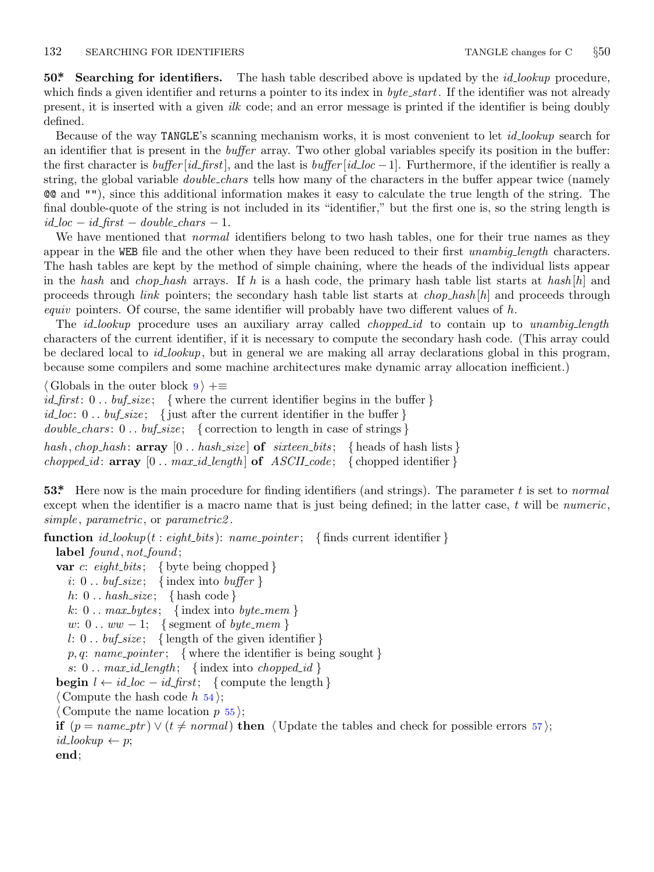<span id="page-7-0"></span>**50\*. Searching for identifiers.** The hash table described above is updated by the *id lookup* procedure, which finds a given identifier and returns a pointer to its index in *byte\_start*. If the identifier was not already present, it is inserted with a given *ilk* code; and an error message is printed if the identifier is being doubly defined.

Because of the way TANGLE's scanning mechanism works, it is most convenient to let *id lookup* search for an identifier that is present in the *buffer* array. Two other global variables specify its position in the buffer: the first character is *buffer* [*id first*], and the last is *buffer* [*id loc −*1]. Furthermore, if the identifier is really a string, the global variable *double chars* tells how many of the characters in the buffer appear twice (namely @@ and ""), since this additional information makes it easy to calculate the true length of the string. The final double-quote of the string is not included in its "identifier," but the first one is, so the string length is  $id\_loc - id\_first - double\_chars - 1$ .

We have mentioned that *normal* identifiers belong to two hash tables, one for their true names as they appear in the WEB file and the other when they have been reduced to their first *unambig length* characters. The hash tables are kept by the method of simple chaining, where the heads of the individual lists appear in the *hash* and *chop hash* arrays. If *h* is a hash code, the primary hash table list starts at *hash* [*h*] and proceeds through *link* pointers; the secondary hash table list starts at *chop hash* [*h*] and proceeds through *equiv* pointers. Of course, the same identifier will probably have two different values of *h*.

The *id lookup* procedure uses an auxiliary array called *chopped id* to contain up to *unambig length* characters of the current identifier, if it is necessary to compute the secondary hash code. (This array could be declared local to *id lookup*, but in general we are making all array declarations global in this program, because some compilers and some machine architectures make dynamic array allocation inefficient.)

*⟨* Globals in the outer block 9 *⟩* +*≡ id first*: 0 *. . buf size* ; *{* where the current identifier begins in the buffer *} id loc*: 0 *. . buf size* ; *{* just after the current identifier in the buffer *} double chars* : 0 *. . buf size* ; *{* correction to length in case of strings *} hash , chop hash* : **array** [0 *. . hash size* ] **of** *sixteen bits* ; *{* heads of hash lists *} chopped\_id*:  $\arctan y$   $[0 \dots \max_id\_length]$  of  $ASCII\_code$ ; {chopped identifier}

**53\*.** Here now is the main procedure for finding identifiers (and strings). The parameter *t* is set to *normal* except when the identifier is a macro name that is just being defined; in the latter case, *t* will be *numeric*, *simple* , *parametric*, or *parametric2* .

**function**  $id\_lookup(t: eight\_bits): name\_pointer; \{ finds current identifier \}$ 

```
label found , not found ;
```

```
var c: eight bits ; { byte being chopped }
  i: 0.. buf_size; {index into buffer }
  h: 0 . . hash size ; { hash code }
  k: 0... max_b \, y \, t \, \text{index} \, \text{ into } \, byte\_mem \, \}w: 0 . . ww − 1; { segment of byte_mem }
  l: 0 \ldots \text{buf\_size}; {length of the given identifier }
  p, q: name_pointer; { where the identifier is being sought }
  s: 0.. max_id\_length; \{index into \, \,chopped_id \}begin l \leftarrow \text{id} \text{-} \text{loc} - \text{id} \text{-} \text{first}; {compute the length }
⟨ Compute the hash code h 54 ⟩;
 ⟨ Compute the name location p 55 ⟩;
if (p = name\_ptr) \vee (t \neq normal) then \langle Update the tables and check for possible errors 57\rangle;
id\_lookup \leftarrow p;
```
**end**;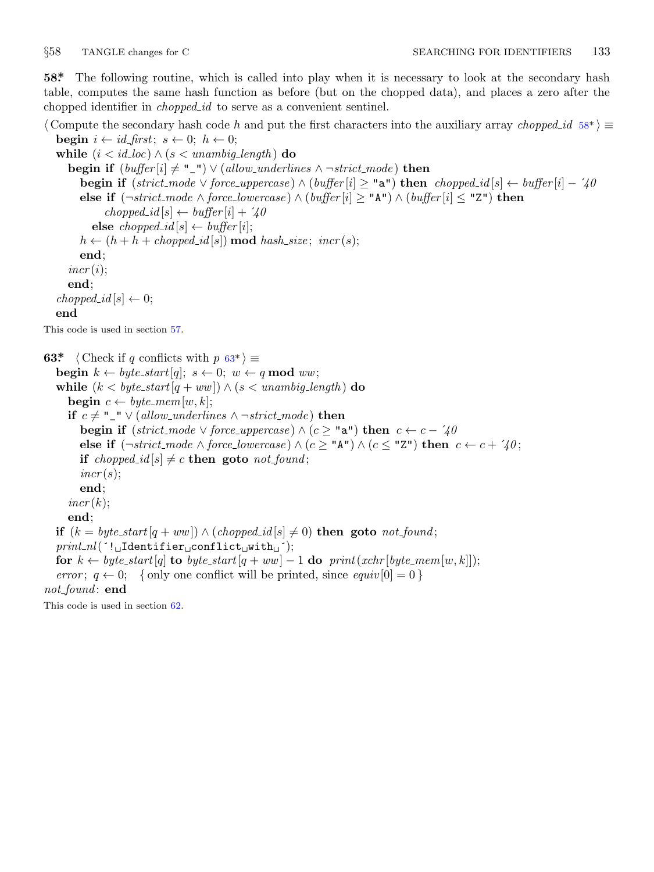<span id="page-8-0"></span>

**58\*.** The following routine, which is called into play when it is necessary to look at the secondary hash table, computes the same hash function as before (but on the chopped data), and places a zero after the chopped identifier in *chopped id* to serve as a convenient sentinel.

*⟨* Compute the secondary hash code *h* and put the first characters into the auxiliary array *chopped id* 58\* *⟩ ≡* **begin**  $i \leftarrow id\_first$ ;  $s \leftarrow 0$ ;  $h \leftarrow 0$ ;

**while**  $(i < id\_loc) \land (s < unambig\_length)$  **do begin if**  $(buffer[i] \neq \text{""} \cup \text{``} \cup \text{``} \cup \text{``} \cup \text{``} \cup \text{``} \cup \text{``} \cup \text{``} \cup \text{``} \cup \text{``} \cup \text{``} \cup \text{``} \cup \text{``} \cup \text{``} \cup \text{``} \cup \text{``} \cup \text{``} \cup \text{``} \cup \text{``} \cup \text{``} \cup \text{``} \cup \text{``} \cup \text{``} \cup \text{``} \cup \text{``} \cup \text{``} \cup \text{``} \cup \text{``} \cup \text{``}$ **begin if** (strict\_mode  $\vee$  force\_uppercase)  $\wedge$  (buffer [i]  $\geq$  "a") **then** chopped\_id[s]  $\leftarrow$  buffer [i] - '40 **else if** (*¬strict mode ∧ force lowercase* ) *∧* (*buffer* [*i*] *≥* "A") *∧* (*buffer* [*i*] *≤* "Z") **then**  $choped_id[s] \leftarrow buffer[i] + '40$  $\mathbf{else} \text{ } \text{choped\_id}[s] \leftarrow \text{buffer}[i];$  $h \leftarrow (h + h + \text{choped}_i[d[s]) \text{ mod } \text{hash}_\text{size}; \text{ incr}(s);$ **end**;  $incr(i);$ **end**;  $choped_id[s] \leftarrow 0;$ **end** This code is used in section 57. **63\***  $\langle$  Check if *q* conflicts with  $p$  63\* $\rangle \equiv$ 

**begin**  $k \leftarrow byte\_start[q]; s \leftarrow 0; w \leftarrow q \mod ww;$ **while**  $(k < byte\_start[q + ww]) \wedge (s < unambig\_length)$  **do begin**  $c \leftarrow byte\_mem[w, k];$ **if**  $c ≠ "_" ∨ (allow\_underlines \land \neg strict\_mode)$  **then begin if**  $(\textit{strict-mode} \lor \textit{force\_uppercase}) \land (c \geq \texttt{"a"}) \textbf{ then } c \leftarrow c - \hat{40}$ **else if**  $(¬strict-mode ∧ force\_lowercase) ∧ (c ≥ "A") ∧ (c ≤ "Z") then  $c ← c + \sqrt{40}$ ;$ **if** *chopped\_id*  $[s] \neq c$  **then goto** *not\_found*;  $incr(s);$ **end**;  $incr(k);$ **end**; **if**  $(k = byte\_start[q + ww]) ∧ (choped_id[s] ≠ 0)$  **then goto**  $not\_found;$ *print nl*(´!␣Identifier␣conflict␣with␣´); **for**  $k \leftarrow byte\_start[q]$  **to**  $byte\_start[q + ww] - 1$  **do**  $print(xchr[byte\_mem[w, k]]);$ *error*;  $q \leftarrow 0$ ; { only one conflict will be printed, since *equiv*  $[0] = 0$  } *not found* : **end**

This code is used in section 62.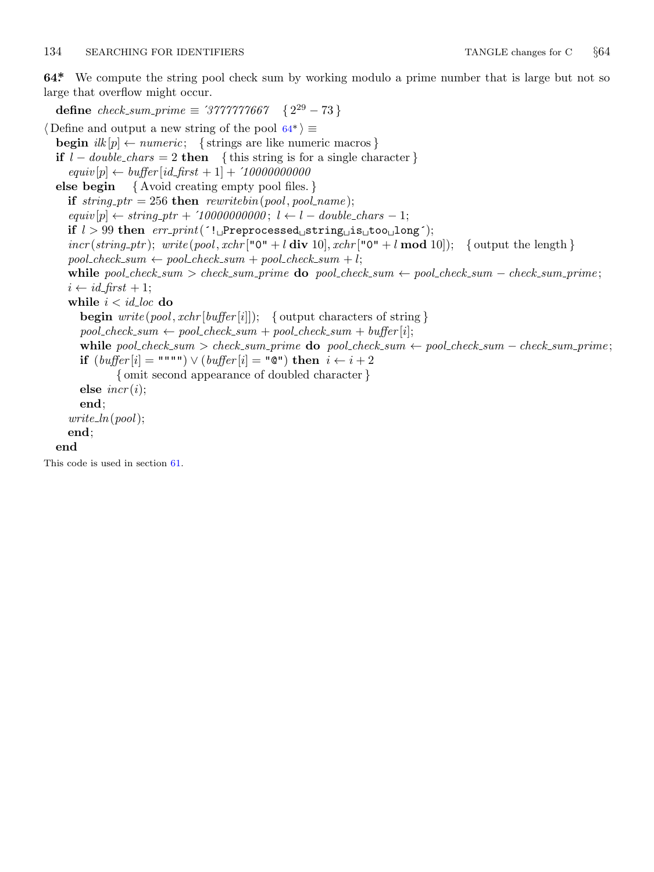# <span id="page-9-0"></span>134 SEARCHING FOR IDENTIFIERS TANGLE changes for C *§*64

**64\*.** We compute the string pool check sum by working modulo a prime number that is large but not so large that overflow might occur.

 $\text{define } check\_sum\_prime \equiv \frac{'}{'}\frac{'}{'}\frac{'}{'}\frac{'}{'}\frac{'}{'}\frac{'}{'}\frac{'}{'}\frac{'}{'}\frac{'}{'}\frac{'}{'}\frac{'}{'}\frac{'}{'}\frac{'}{'}\frac{'}{'}\frac{'}{'}\frac{'}{'}\frac{'}{'}\frac{'}{'}\frac{'}{'}\frac{'}{'}\frac{'}{'}\frac{'}{'}\frac{'}{'}\frac{'}{'}\frac{'}{'}\frac{'}{'}\frac{'}{'}\frac{'}{'}\frac{'}{'}\frac{'}{'}\frac{'}{'}\frac{'}{'}\frac{'}{'}\frac{'}{'}\frac{'}$ 

*⟨* Define and output a new string of the pool 64\* *⟩ ≡* **begin**  $ilk[p] \leftarrow numeric$ ; {strings are like numeric macros } **if**  $l − \text{double}\_\text{chars} = 2$  **then** { this string is for a single character }  $\text{equiv}[p] \leftarrow \text{buffer}[id\_first + 1] + '10000000000$ **else begin** *{* Avoid creating empty pool files. *}* **if**  $string\_ptr = 256$  **then**  $rewritebin(pool, pool_name);$  $\text{equiv}[p] \leftarrow \text{string\_ptr} + \text{'10000000000}$ ;  $l \leftarrow l - \text{double\_chars} - 1$ ; **if** *l >* 99 **then** *err print*(´!␣Preprocessed␣string␣is␣too␣long´);  $inc(r \cdot (string\_ptr)$ ;  $write(pool, xchr[^{n}0^{n} + l \textbf{div } 10]$ ,  $xchr[^{n}0^{n} + l \textbf{mod } 10]$ ;  $\{output the length\}$  $pool\_check\_sum \leftarrow pool\_check\_sum + pool\_check\_sum + l;$ while pool\_check\_sum > check\_sum\_prime do pool\_check\_sum  $\leftarrow$  pool\_check\_sum - check\_sum\_prime;  $i \leftarrow id\_first + 1;$ while  $i < i$ *d*-*loc* do **begin** *write* (*pool , xchr* [*buffer* [*i*]]); *{* output characters of string *}*  $pool\_check\_sum \leftarrow pool\_check\_sum + pool\_check\_sum + pool\_check\_sum + buffer[i];$ while pool\_check\_sum > check\_sum\_prime do pool\_check\_sum  $\leftarrow$  pool\_check\_sum - check\_sum\_prime; **if**  $(buffer[i] = """") \vee (buffer[i] = "@")$  **then**  $i \leftarrow i + 2$ *{* omit second appearance of doubled character *}* **else** *incr* (*i*); **end**; *write ln*(*pool*); **end**; **end** This code is used in section 61.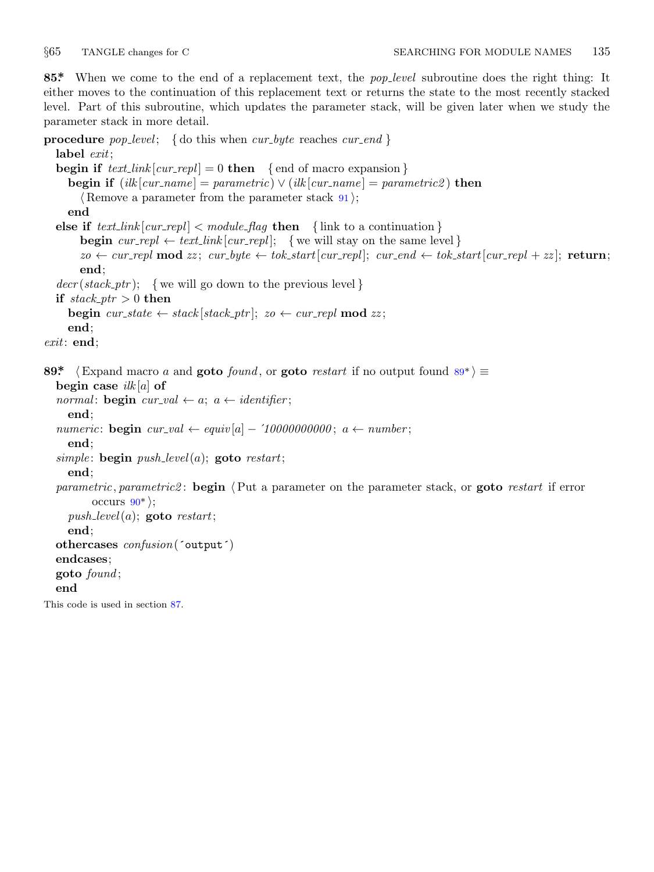<span id="page-10-0"></span>

**85\*.** When we come to the end of a replacement text, the *pop level* subroutine does the right thing: It either moves to the continuation of this replacement text or returns the state to the most recently stacked level. Part of this subroutine, which updates the parameter stack, will be given later when we study the parameter stack in more detail.

```
procedure pop level ; { do this when cur byte reaches cur end }
  label exit;
  begin if text[i]{\text{curl}} [cur\_rep1] = 0 then \{ end of macro expansion \}begin if (ilk[cur_name] = parametric) \vee (ilk[cur_name] = parametric2) then
        ⟨ Remove a parameter from the parameter stack 91 ⟩;
     end
  else if text_{int} |cur_{repl}| < module_{flag} then { link to a continuation }
       begin \text{cur\_repl} \leftarrow \text{text\_link}[\text{cur\_repl}]; {we will stay on the same level }
       zo \leftarrow cur_{repl} \mod zz; \ cur_{byte} \leftarrow tok_{start}[cur_{repl}]; \ cur_{end} \leftarrow tok_{start}[cur_{repl} + zz]; return;
       end;
  decr (stack\_ptr); {we will go down to the previous level }
  if stack\_ptr > 0 then
     begin cur\_state \leftarrow stack[stack\_ptr]; zo \leftarrow cur\_repl \textbf{ mod } zz;end;
exit: end;
89* \langle Expand macro a and goto found, or goto restart if no output found 89^*) \equivbegin case ilk [a] of
  normal: begin cur\_val \leftarrow a; a \leftarrow identifier;
     end;
  numeric: begin cur\_val \leftarrow equiv[a] - '10000000000; a \leftarrow number;
     end;
  simple : begin push level(a); goto restart;
     end;
  parametric, parametric2 : begin ⟨Put a parameter on the parameter stack, or goto restart if error
          occurs 90^*;
     push\_level(a); goto restart;
     end;
  othercases confusion(´output´)
  endcases;
  goto found ;
  end
This code is used in section 87.
```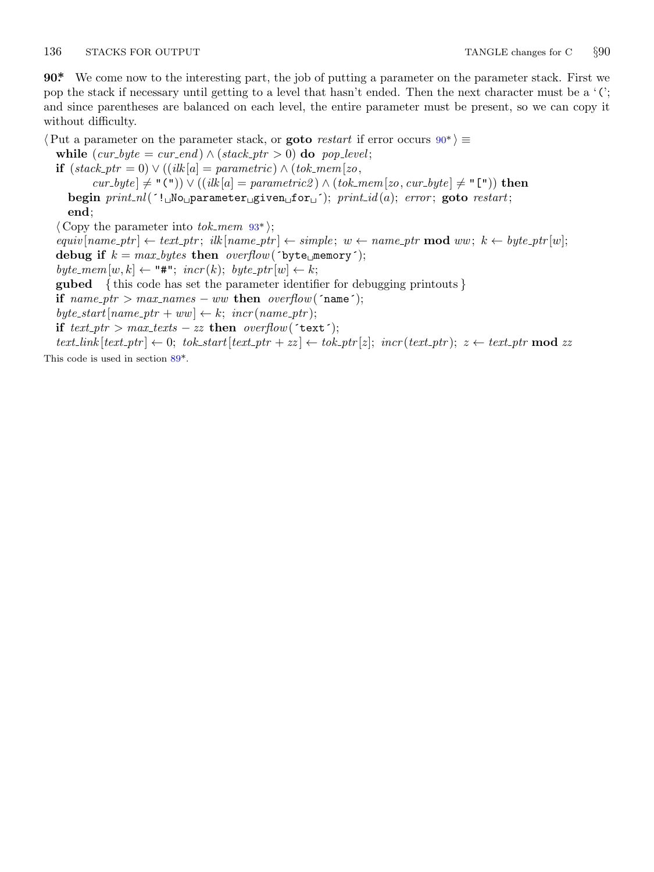# <span id="page-11-0"></span>136 STACKS FOR OUTPUT TANGLE changes for C  $\S 90$

**90\*.** We come now to the interesting part, the job of putting a parameter on the parameter stack. First we pop the stack if necessary until getting to a level that hasn't ended. Then the next character must be a '('; and since parentheses are balanced on each level, the entire parameter must be present, so we can copy it without difficulty.

*⟨*Put a parameter on the parameter st[ack](#page-12-0), or **goto** *restart* if error occurs 90\* *⟩ ≡* **while**  $(cur\_byte = cur\_end) \wedge (stack\_ptr > 0)$  **do**  $pop\_level;$ **if** (*stack ptr* = 0) *∨* ((*ilk* [*a*] = *parametric*) *∧* (*tok mem*[*zo, cur byte* ] *̸*= "(")) *∨* ((*ilk* [*a*] = *parametric2* ) *∧* (*tok mem*[*zo, cur byte* ] *̸*= "[")) **then begin** *print nl*(´!␣No␣parameter␣given␣for␣´); *print id* (*a*); *error* ; **goto** *restart*; **end**; *⟨* Copy the parameter into *tok mem* 93\* *⟩*; equiv $[name\_ptr] \leftarrow text\_ptr;$   $ilk[name\_ptr] \leftarrow simple; w \leftarrow name\_ptr \mod ww; k \leftarrow byte\_ptr[w];$ debug if  $k = max_b \, y \, t \, e \, s$  then  $\text{overflow}(\text{byte\_memory}^*)$ ;  $byte\_mem[w, k] \leftarrow$  "#"[;](#page-10-0)  $incr(k); byte\_ptr[w] \leftarrow k;$ **gubed** *{* this code has set the parameter identifier for debugging printouts *}*

**if**  $name\_ptr > max\_names - ww$  **then**  $overflow('name');$ 

 $byte\_start[name\_ptr + ww] \leftarrow k$ ;  $incr(name\_ptr)$ ;

**if**  $text{ text\_ptr} > max\_text{test} - zz$  **then**  $overflow('text')$ ;

 $text\_link[text{\_\textit{ptr}}] \leftarrow 0; \; \textit{tok}\_\textit{start[text{\_\textit{ptr}} + zz]} \leftarrow \textit{tok}\_\textit{ptr}[z]; \; \textit{incr(text{\_\textit{ptr}})}; \; z \leftarrow \textit{text\_ptr} \mod zz$ This code is used in section 89\*.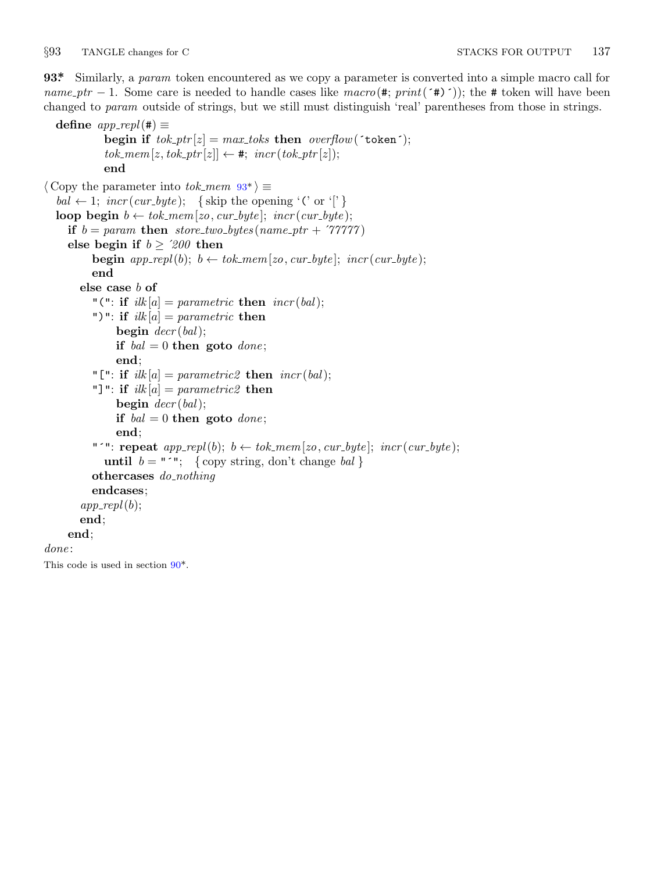<span id="page-12-0"></span>*§*93 TANGLE changes for C STACKS FOR OUTPUT 137

**93\*.** Similarly, a *param* token encountered as we copy a parameter is converted into a simple macro call for *name\_ptr*  $-1$ . Some care is needed to handle cases like  $macro(\#; print(\#')$ ); the # token will have been changed to *param* outside of strings, but we still must distinguish 'real' parentheses from those in strings.

```
\text{define } app\_repl(\texttt{\#}) \equivbegin if tok\_ptr[z] = max\_toks then overflow('token');tok\_mem[z, tok\_ptr[z]] \leftarrow #; incr(tok\_ptr[z]);end
\langle Copy the parameter into tok_mem 93^* \equivbal \leftarrow 1; incr(cur\_byte); {skip the opening '(' or '[' }
  loop begin b \leftarrow \text{tok\_mem}[zo, \text{cur\_byte}]; \text{incr}(\text{cur\_byte});if b = param then store_two_bytes (name_ptr + \hat{\mathcal{T}}77777)
     else begin if b \geq 200 then
          begin app\_repl(b); b \leftarrow tok\_mem[zo, cur\_byte]; incr(cur\_byte);end
       else case b of
          "(": if ilk[a] = parametric then incr(bal);
          ")": if ilk [a] = parametric then
               begin decr (bal);
               if bal = 0 then goto done;
               end;
          "[": if ilk[a] = parametric2 then incr(bal);
          "]": if ilk [a] = parametric2 then
               begin decr (bal);
               if bal = 0 then goto done;
               end;
          "<sup>*</sup>": repeat app\_repl(b); b \leftarrow tok\_mem[zo, cur\_byte]; incr(cur\_byte);until b = "´"; {copy string, don't change bal}
          othercases do nothing
          endcases;
       app\_repl(b);end;
     end;
done :
This code is used in section 90*.
```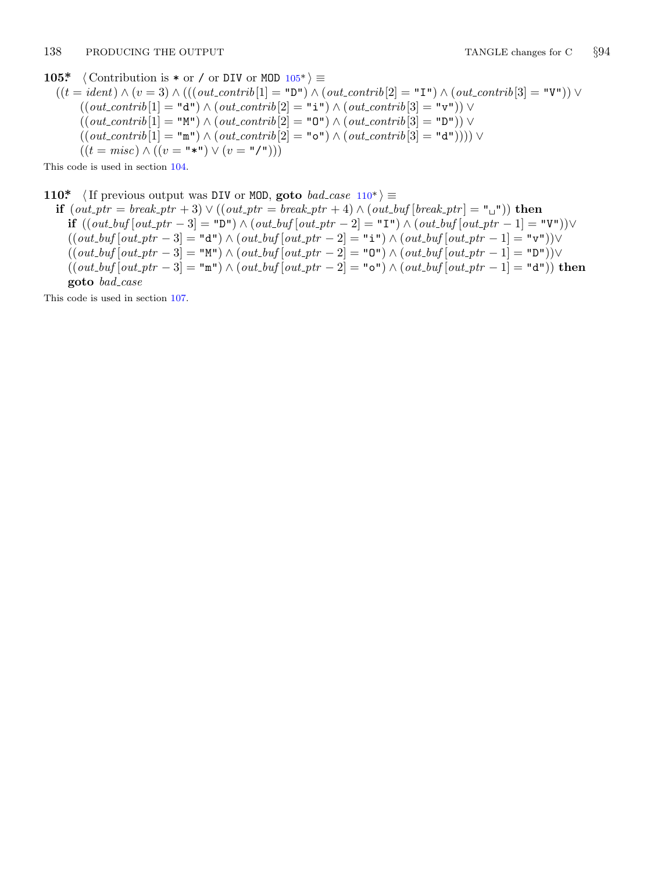# <span id="page-13-0"></span>**105\***  $\langle$  Contribution is  $*$  or  $\angle$  or DIV or MOD  $105^*$  $\rangle \equiv$

 $((t = ident) ∧ (v = 3) ∧ (((out_{\text{...}}[1] = "D") ∧ (out_{\text{...}}[2] = "I") ∧ (out_{\text{...}}[3] = "V")) ∨ (out_{\text{...}}[3] = "V"))$  $((\text{out\_contrib}[1] = "d") \land (\text{out\_contrib}[2] = "i") \land (\text{out\_contrib}[3] = "v") \lor$  $((\text{out\_contrib}[1] = "M") \land (\text{out\_contrib}[2] = "O") \land (\text{out\_contrib}[3] = "D") \lor$  $((\text{out\_contrib}[1] = "m") \land (\text{out\_contrib}[2] = "o") \land (\text{out\_contrib}[3] = "d")))) \lor$  $((t = misc) ∧ ((v = "∗") ∨ (v = "′")))$ 

This code is used in section 104.

**110\***  $\langle$  If previous output was DIV or MOD, goto *bad\_case*  $110^*$   $\equiv$ 

```
if (out ptr = break ptr + 3) ∨ ((out ptr = break ptr + 4) ∧ (out buf [break ptr ] = "␣")) then
   if ((out.buf[out_ptr-3]= "D") \wedge (out.buf[out_ptr-2]= "I") \wedge (out.buf[out_ptr-1]= "V") )\vee((\textit{out\_buf}[\textit{out\_ptr}-3] = "d") \land (\textit{out\_buf}[\textit{out\_ptr}-2] = "i") \land (\textit{out\_buf}[\textit{out\_ptr}-1] = "v")) \lor((\textit{out\_buf}[\textit{out\_ptr}-3] = "M") \land (\textit{out\_buf}[\textit{out\_ptr}-2] = "O") \land (\textit{out\_buf}[\textit{out\_ptr}-1] = "D") \lor((\mathit{out\_buf}[\mathit{out\_ptr}-3]=\texttt{"m"})\wedge(\mathit{out\_buf}[\mathit{out\_ptr}-2]=\texttt{"o"})\wedge(\mathit{out\_buf}[\mathit{out\_ptr}-1]=\texttt{"d"}))\text{ then }goto bad case
```
This code is used in section 107.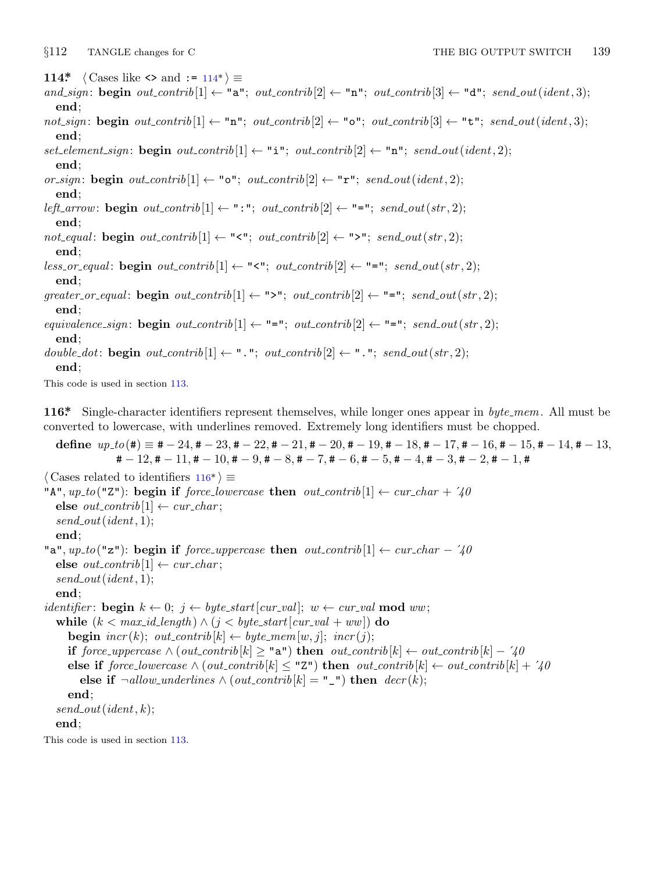<span id="page-14-0"></span>

**114\***  $\langle$  Cases like  $\langle$  and := 114\*)  $\equiv$ 

- $and\_sign:$  **begin**  $out\_contrib[1]$  ← "a";  $out\_contrib[2]$  ← "n";  $out\_contrib[3]$  ← "d";  $send\_out(ident, 3)$ ; **end**;
- $not\text{-}sign: \text{begin } out\text{-}contrib[1] ← "n"; \text{} out\text{-}contrib[2] ← "o"; \text{} out\text{-}contrib[3] ← "t"; \text{} send\text{-}out(ident, 3);$ **end**;

 $set$ *element\_sign*: **begin**  $out\_\text{contrib}[1] \leftarrow$  "i";  $out\_\text{contrib}[2] \leftarrow$  "n";  $send\_\text{out}(ident, 2);$ **end**;

*or\_sign*: **begin**  $out\_contrib[1]$  ← " $\circ$ ";  $out\_contrib[2]$  ← " $\mathbf{r}$ ";  $send\_out(ident, 2)$ ; **end**;

*left\_arrow*: **begin**  $out\_contrib[1] \leftarrow$  ": ";  $out\_contrib[2] \leftarrow$  "=";  $send\_out(str, 2)$ ; **end**;

 $not\_equal:$  **begin**  $out\_contrib[1] \leftarrow$  "<";  $out\_contrib[2] \leftarrow$  ">";  $send\_out(str, 2)$ ; **end**;

 $less\_or\_equal$ : **begin**  $out\_contrib[1] \leftarrow$  "<";  $out\_contrib[2] \leftarrow$  "=";  $send\_out(str, 2)$ ; **end**;

 $\mathbf{g} \text{reater\_or\_equal}$ : **begin**  $\text{out\_contrib}[1] \leftarrow \text{``>''}; \text{ out\_contrib}[2] \leftarrow \text{``=''}; \text{ send\_out}(\text{str}, 2);$ **end**;

 $equivalence\_sign: \textbf{begin} \text{ } out\_contrib[1] \leftarrow \text{ } "="; \text{ } out\_contrib[2] \leftarrow \text{ } "="; \text{ } send\_out(str, 2);$ **end**;

*double\_dot*: **begin**  $out\_contrib[1] \leftarrow$  ".";  $out\_contrib[2] \leftarrow$  ".";  $send\_out(str, 2)$ ; **end**;

This code is used in section 113.

**116\*.** Single-character identifiers represent themselves, while longer ones appear in *byte mem*. All must be converted to lowercase, with underlines removed. Extremely long identifiers must be chopped.

define  $up\_to(\#) \equiv #-24, #-23, #-22, #-21, #-20, #-19, #-18, #-17, #-16, #-15, #-14, #-13,$  $\sharp -12, \sharp -11, \sharp -10, \sharp -9, \sharp -8, \sharp -7, \sharp -6, \sharp -5, \sharp -4, \sharp -3, \sharp -2, \sharp -1, \sharp$ *⟨* Cases related to identifiers 116\* *⟩ ≡* "A",  $up\_to$  ("Z"): **begin if** *force\_lowercase* **then**  $out\_contrib[1] \leftarrow cur\_char + 70$  $\textbf{else}~out\_contrib[1] \leftarrow cur\_char;$ *send out*(*ident,* 1); **end**; "a",  $up\_to$  ("z"): **begin if** *force\_uppercase* **then**  $out\_contrib[1] \leftarrow cur\_char - 740$  $\textbf{else}~out\_contrib[1] \leftarrow cur\_char;$ *send out*(*ident,* 1); **end**; *identifier*: **begin**  $k \leftarrow 0$ ;  $j \leftarrow byte\_start[cur\_val]$ ;  $w \leftarrow cur\_val \mod ww$ ; **while**  $(k < max_id_length) \land (j < byte.start[cur_val + ww])$  **do begin**  $\text{incr}(k)$ ;  $\text{out\_contrib}[k] \leftarrow \text{byte\_mem}[w, j]$ ;  $\text{incr}(j)$ ; **if**  $force\_uppercase \land (out\_contrib[k] ≥ "a")$  **then**  $out\_contrib[k] ← out\_contrib[k] − '40$ **else if**  $force\_lowercase \land (out\_contrib[k] \leq "Z")$  **then**  $out\_contrib[k] \leftarrow out\_contrib[k] + '40$ **else if**  $\neg$ *allow\_underlines*  $\land$  (*out\_contrib* [*k*] = "\_") **then** *decr*(*k*); **end**; *send out*(*ident, k*); **end**; This code is used in section 113.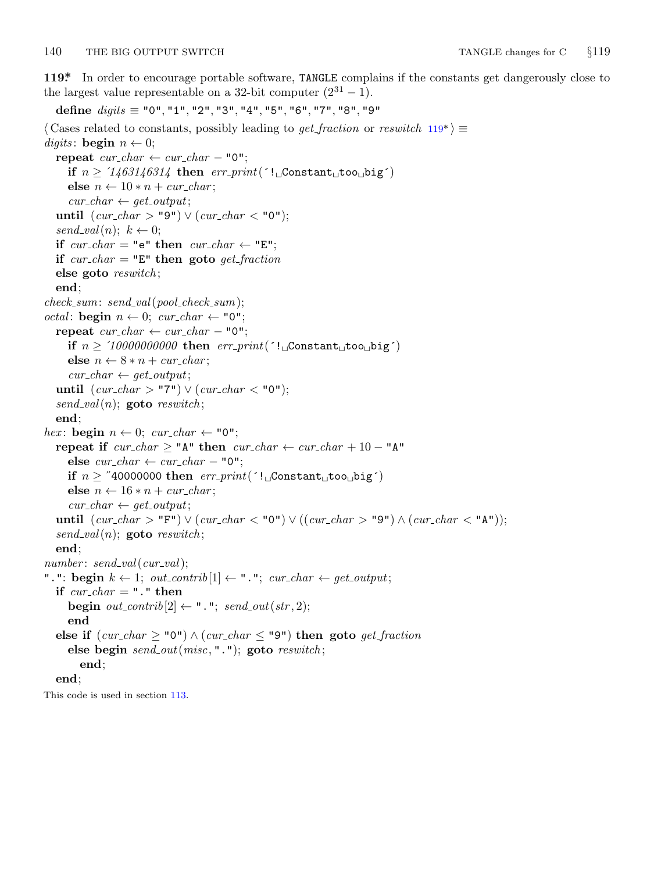<span id="page-15-0"></span>**119\*.** In order to encourage portable software, TANGLE complains if the constants get dangerously close to the largest value representable on a 32-bit computer  $(2^{31} – 1)$ .

**define** *digits ≡* "0"*,* "1"*,* "2"*,* "3"*,* "4"*,* "5"*,* "6"*,* "7"*,* "8"*,* "9"

```
⟨ Cases related to constants, possibly leading to get fraction or reswitch 119* ⟩ ≡
digits: \textbf{begin} \space n \leftarrow 0;\mathbf{repeat} \ \textit{cur\_char} \leftarrow \textit{cur\_char} - \texttt{"0"};if n \geq 71463146314 then err\_print('!\cup\text{Constant}\cup\text{too}\cup\text{big')}else n \leftarrow 10 * n + \text{cur\_char};
      cur\_char \leftarrow get\_output;until (cur\_char > "9") ∨ (cur\_char < "0");
  send\_val(n); k \leftarrow 0;if cur\_char = "e" then cur\_char \leftarrow "E";if cur\_char = "E" then goto get\_fractionelse goto reswitch ;
  end;
check sum: send val(pool check sum);
\textit{octal}: \text{begin } n \leftarrow 0; \text{ \textit{cur}\_}char \leftarrow "0";\mathbf{repeat} \ \textit{cur\_char} \leftarrow \textit{cur\_char} - "0";if n \geq 10000000000 then err\_print('!\cup Constant\cup too\cup big')else n \leftarrow 8 * n + \text{cur\_char};
     cur\_char \leftarrow get\_output;until (cur\_char > "7") ∨ (cur\_char < "0");
  send\_val(n); goto reswitch;
  end;
hex: begin n \leftarrow 0; cur_char \leftarrow "0";
  repeat if cur\_char \geq "A" then cur\_char \leftarrow cur\_char + 10 - "A"else cur\_char \leftarrow cur\_char - "0";if n \geq "40000000 then err\_print('! \cup Constant \cup too \cup big')else n \leftarrow 16 * n + \text{cur\_char};
     cur\_char \leftarrow get\_output;until (cur\_char > "F") ∨ (cur\_char < "0") ∨ ((cur\_char > "9") ∧ (cur\_char < "A"));send\_val(n); goto result;
  end;
number : send val(cur val);
".": begin k \leftarrow 1; out\_contrib[1] \leftarrow "."; cur\_char \leftarrow get\_output;
  if cur\_char = "." then
     begin out\_{contr}b[2] \leftarrow "."; send\_out(str, 2);
     end
  else if (cur\_char > "0") \land (cur\_char < "9") then goto get\_fractionelse begin send out(misc, "."); goto reswitch ;
        end;
  end;
This code is used in section 113.
```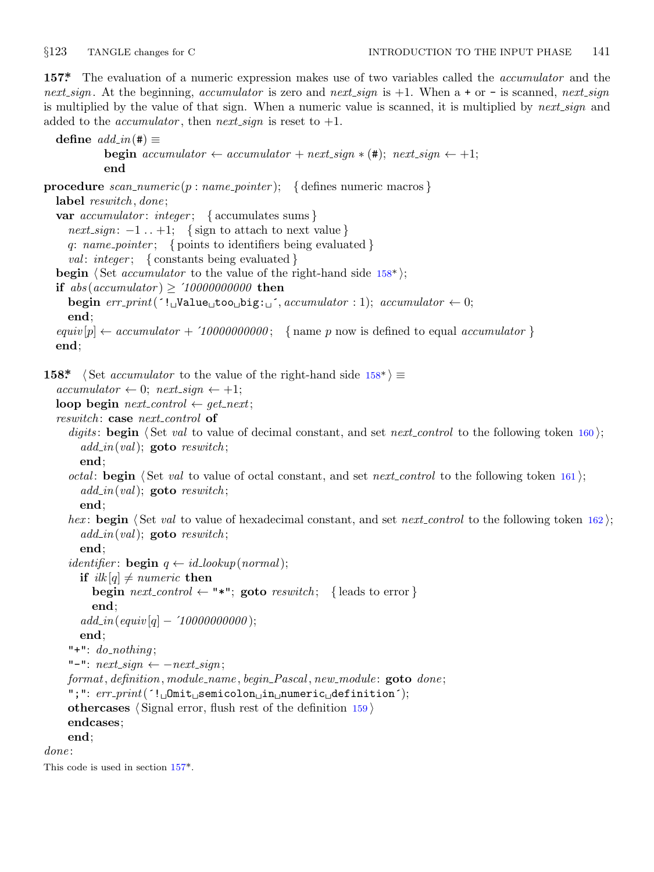<span id="page-16-0"></span>

**157\*.** The evaluation of a numeric expression makes use of two variables called the *accumulator* and the *next sign*. At the beginning, *accumulator* is zero and *next sign* is +1. When a + or − is scanned, *next sign* is multiplied by the value of that sign. When a numeric value is scanned, it is multiplied by *next sign* and added to the *accumulator*, then *next\_sign* is reset to  $+1$ .

 $\text{define } \text{add}_\_in(\texttt{\#}) \equiv$ **begin**  $accumulator \leftarrow accumulator + next\_sign * (\textbf{\#}); next\_sign \leftarrow +1;$ **end procedure** *scan numeric*(*p* : *name pointer* ); *{* defines numeric macros *}* **label** *reswitch , done* ; **var** *accumulator* : *integer* ; *{* accumulates sums *}*  $next\_sign: -1$ .. +1; {sign to attach to next value } *q*: *name pointer* ; *{* points to identifiers being evaluated *} val* : *integer* ; *{* constants being evaluated *}* **begin** *⟨* Set *accumulator* to the value of the right-hand side 158\* *⟩*; **if** *abs* (*accumulator* ) *≥* ´*10000000000* **then**  $\begin{aligned} \textbf{begin} & \textit{error}(f \cdot \textbf{1}_{\Box} \textbf{Value}_{\Box} \textbf{too}_{\Box} \textbf{big} : \Box f \text{.} & \textit{accumulator}: 1); \textit{accumulator} \leftarrow 0; \end{aligned}$ **end**;  $equiv[$   $p \rightarrow$  *accumulator* +  $\hat{i}$  *10000000000*; { name *p* now is defined to equal *accumulator* } **end**; **158\***  $\langle$  Set *accumulator* to the value of the right-hand side  $158^*$   $\equiv$  $accumulator \leftarrow 0$ ;  $next\_sign \leftarrow +1$ ; **loop begin**  $next\_control \leftarrow get\_next;$ *reswitch* : **case** *next control* **of** *digits* : **begin** *⟨* Set *val* to value of decimal constant, and set *next control* to the following token 160 *⟩*; *add in*(*val*); **goto** *reswitch* ; **end**; *octal*: **begin**  $\langle$  Set *val* to value of octal constant, and set *next control* to the following token 161  $\rangle$ ; *add in*(*val*); **goto** *reswitch* ; **end**; *hex*: **begin**  $\langle$  Set *val* to value of hexadecimal constant, and set *next control* to the following token 162  $\rangle$ ; *add in*(*val*); **goto** *reswitch* ; **end**; *identifier*: **begin**  $q \leftarrow id\_lookup(normal);$ **if**  $ilk[q] \neq numeric$  **then begin**  $next-control \leftarrow$  "\*"; **goto**  $resultch$ ; {leads to error} **end**; *add in*(*equiv* [*q*] *−* ´*10000000000* ); **end**; " $+$ ": *do\_nothing*; "−": *next sign ← −next sign*; *format, definition, module name , begin Pascal , new module* : **goto** *done* ; ";": *err print*(´!␣Omit␣semicolon␣in␣numeric␣definition´); **othercases** *⟨* Signal error, flush rest of the definition 159 *⟩* **endcases**; **end**; *done* : This code is used in section 157\*.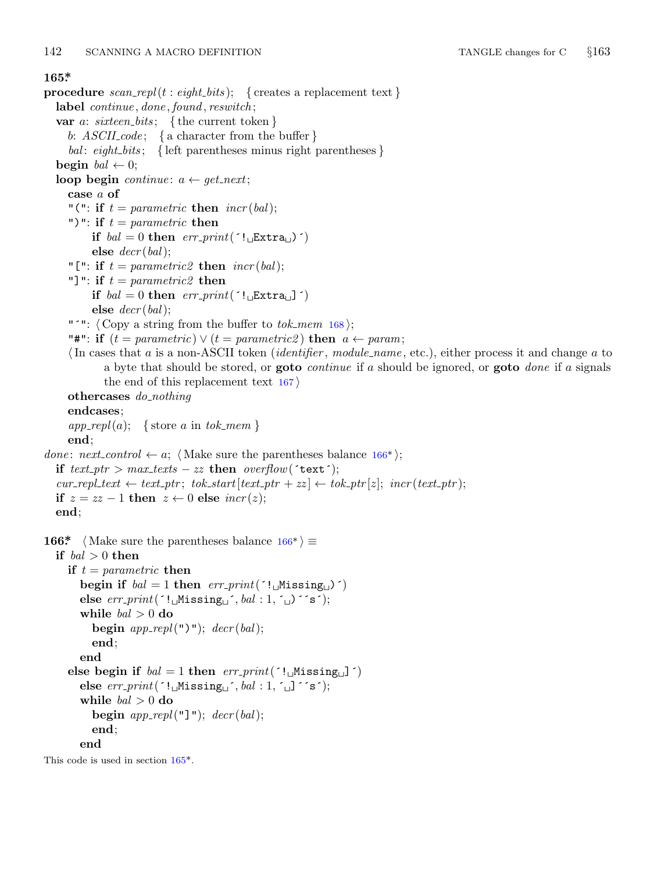### <span id="page-17-0"></span>**165\*.**

**procedure** *scan repl*(*t* : *eight bits* ); *{* creates a replacement text *}* **label** *continue , done , found , reswitch* ; **var** *a*: *sixteen bits* ; *{* the current token *} b*: *ASCII code* ; *{* a character from the buffer *} bal* : *eight bits* ; *{* left parentheses minus right parentheses *}* **begin**  $bal \leftarrow 0$ ; **loop begin** *continue*:  $a \leftarrow get\_next;$ **case** *a* **of** "(": **if**  $t = parametric$  **then**  $incr(bal)$ ; ")": **if**  $t = parametric$  **then if**  $bal = 0$  **then**  $err\_print('!\_Extra_{\Box})')$ **else** *decr* (*bal*); "[": **if**  $t = parametric2$  **then**  $incr(bal)$ ; "]": **if** *t* = *parametric2* **then if**  $bal = 0$  **then**  $err\_print('!\sqcup \text{Extra} \sqcup')$ **else** *decr* (*bal*); "´": *⟨* Copy a string from the buffer to *tok mem* 168 *⟩*; "#": **if**  $(t = parametric) \vee (t = parametric2)$  **then**  $a \leftarrow param$ ; *⟨*In cases that *a* is a non-ASCII token (*identifier* , *module name* , etc.), either process it and change *a* to a byte that should be stored, or **goto** *continue* if *a* should be ignored, or **goto** *done* if *a* signals the end of this replacement text 167 *⟩* **othercases** *do nothing* **endcases**;  $app\_repl(a);$  {store *a* in *tok\_mem* } **end**; *done: next\_control*  $\leftarrow a$ ;  $\langle$  Make sure the parentheses balance 166<sup>\*</sup>); **if**  $text{ text\_ptr} > max\_text{s} - zz$  **then**  $overflow('text');$  $cur\_repl\_text \leftrightarrow text\_ptr; \; tok\_start[text\_ptr + zz] \leftarrow tok\_ptr[z]; \; incr(text\_ptr);$ **if**  $z = zz - 1$  **then**  $z \leftarrow 0$  **else** *incr*(*z*); **end**; **166\***  $\langle$  Make sure the parentheses balance  $166^*$   $\equiv$ **if** *bal >* 0 **then if** *t* = *parametric* **then begin if**  $bal = 1$  **then**  $err\_print('!\cup\text{Missing}\cup)')$  $else \text{ } err\_print('!\cup \text{Missing}\cup \text{'}, \text{ }bal:1, \text{ } \cup \text{ } 's');$ **while** *bal >* 0 **do begin**  $app\_repl("")$ ;  $decr(bal);$ **end**; **end else begin if**  $bal = 1$  **then**  $err\_print('!\cup\text{Missing}\cup\text{]}')$  $else \text{ } err\_print('!\cup \text{Missing}\cup \text{'}, \text{ }bal:1,\text{ } \cup \text{ } s');$ **while** *bal >* 0 **do begin** *app repl*("]"); *decr* (*bal*); **end**; **end** This code is used in section 165\*.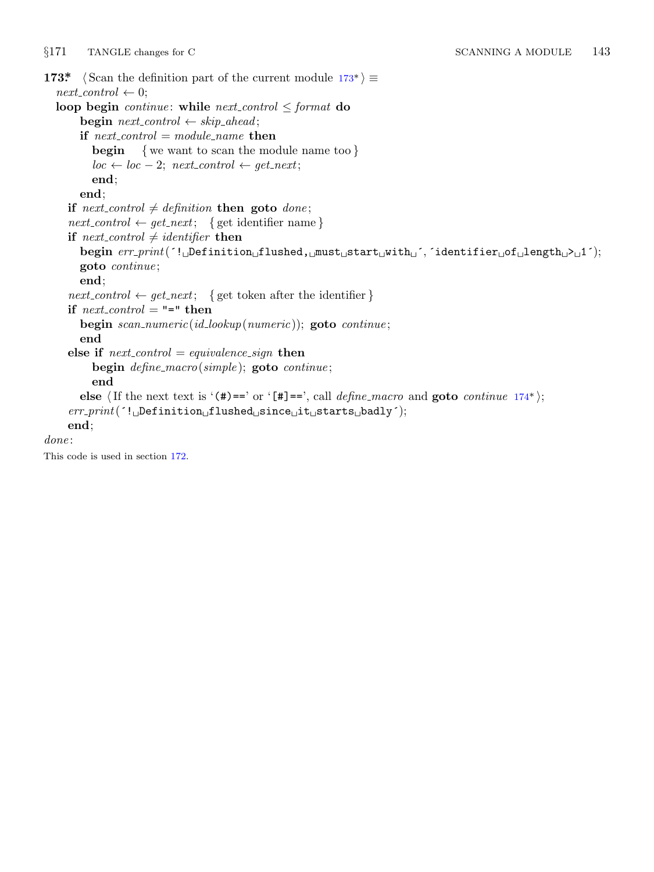<span id="page-18-0"></span>*§*171 TANGLE changes for C SCANNING A MODULE 143 **173\***  $\langle$  Scan the definition part of the current module  $173^*$   $\equiv$  $next\_control \leftarrow 0;$ **loop begin** *continue*: **while**  $next\_control \leq format$  **do**  $\text{begin }$  *next\_control*  $\leftarrow$  *skip\_ahead*; **if**  $next\_control = module\_name$  **then begin** *{* we want to scan the module name too *}*  $loc \leftarrow loc - 2; next\_control \leftarrow get\_next;$ **end**; **end**; **if**  $next-control \neq definition$  **then goto** *done*;  $next_{control} \leftarrow get_{next}$ ; { get identifier name } **if**  $next\_control \neq identifier$  **then begin** *err print*(´!␣Definition␣flushed,␣must␣start␣with␣´*,* ´identifier␣of␣length␣>␣1´); **goto** *continue* ; **end**;  $next\_control \leftarrow get\_next;$  {get token after the identifier } **if**  $next\_control = "-"$  **then begin** *scan numeric*(*id lookup*(*numeric*)); **goto** *continue* ; **end else if**  $next\_control = equivalence\_sign$  **then begin** *define macro*(*simple* ); **goto** *continue* ; **end else**  $\langle$ **If** the next text is  $\langle$  (#)==' or  $\langle$  [#]==', call *define\_macro* and **goto** *continue* 174\*); *err print*(´!␣Definition␣flushed␣since␣it␣starts␣badly´); **end**; *done* : This code is used in section 172.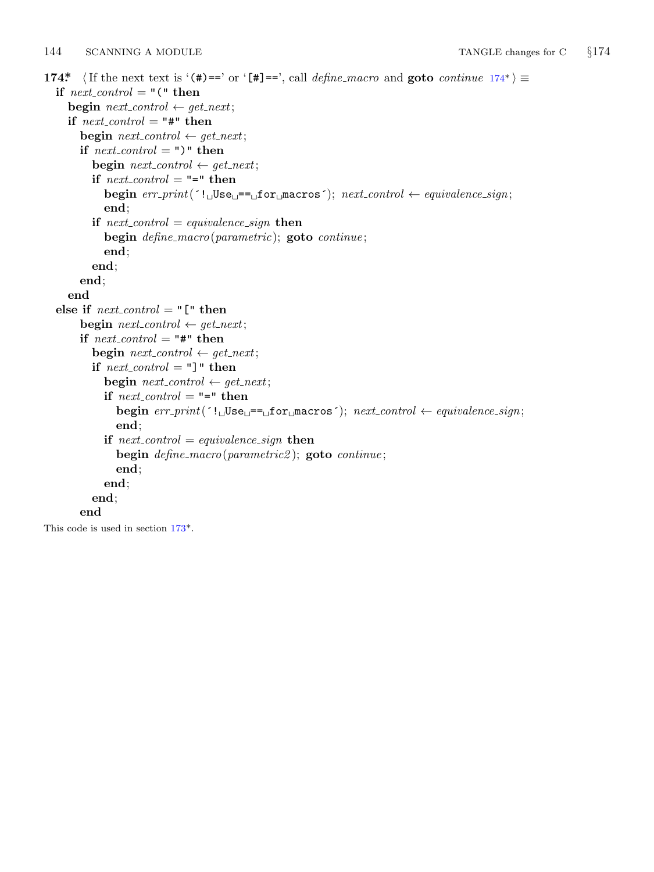<span id="page-19-0"></span>144 SCANNING A MODULE TANGLE changes for C  $\S 174$ 

```
174* \langle If the next text is \langle (#)==' or \langle [#]==', call define_macro and goto continue 174*) \equivif next\_control = "("then"\text{begin } next_control \leftarrow get_next;
     if next\_control = "#" then
        \mathbf{begin} regrin \textit{next}_\textit{control} \leftarrow \textit{get}_\textit{next};if next\_control = ")" then
           \text{begin } next_control \leftarrow get_next;
           if next\_control = "-" then
             begin err print(´!␣Use␣==␣for␣macros´); next control ← equivalence sign;
             end;
           if next_{\text{control}} = equivalence\_sign then
             begin define macro(parametric); goto continue ;
             end;
           end;
        end;
     end
  else if next\_control = "[' thenbegin next\_control \leftarrow get\_next;if next\_control = "#" then
           \text{begin } next_control \leftarrow get_next;
          if next\_control = "]</math> " then\mathbf{begin} new next_control \leftarrow get_next;
             \mathbf{if} \ \mathit{next\_control} = \texttt{""} = \texttt{then}begin err print(´!␣Use␣==␣for␣macros´); next control ← equivalence sign;
                end;
             if rol = equivalence\_sign then
                begin define macro(parametric2 ); goto continue ;
                end;
             end;
           end;
        end
This code is used in section 173*.
```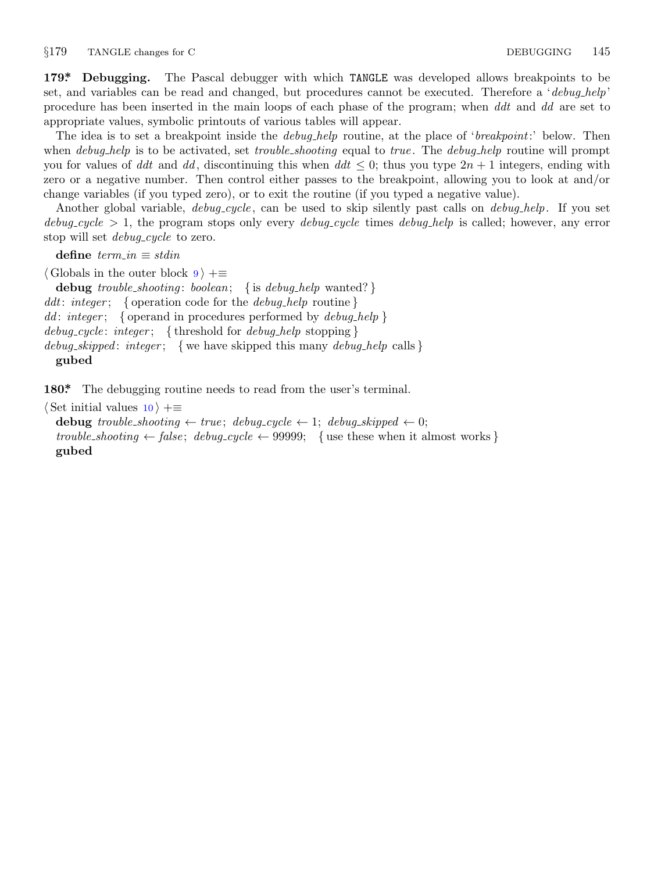<span id="page-20-0"></span>*§*179 TANGLE changes for C DEBUGGING 145

**179\*. Debugging.** The Pascal debugger with which TANGLE was developed allows breakpoints to be set, and variables can be read and changed, but procedures cannot be executed. Therefore a '*debug help*' procedure has been inserted in the main loops of each phase of the program; when *ddt* and *dd* are set to appropriate values, symbolic printouts of various tables will appear.

The idea is to set a breakpoint inside the *debug help* routine, at the place of '*breakpoint*:' below. Then when *debug help* is to be activated, set *trouble shooting* equal to *true* . The *debug help* routine will prompt you for values of *ddt* and *dd*, discontinuing this when  $ddt \leq 0$ ; thus you type  $2n + 1$  integers, ending with zero or a negative number. Then control either passes to the breakpoint, allowing you to look at and/or change variables (if you typed zero), or to exit the routine (if you typed a negative value).

Another global variable, *debug cycle* , can be used to skip silently past calls on *debug help*. If you set *debug cycle >* 1, the program stops only every *debug cycle* times *debug help* is called; however, any error stop will set *debug\_cycle* to zero.

 $\text{define } \textit{term\_in} \equiv \textit{stdin}$ 

*⟨* Globals in the outer block 9 *⟩* +*≡* **debug** *trouble shooting* : *boolean*; *{* is *debug help* wanted? *} ddt*: *integer* ; *{* operation code for the *debug help* routine *} dd* : *integer* ; *{* operand in procedures performed by *debug help } debug cycle* : *integer* ; *{* threshold for *debug help* stopping *} debug skipped* : *integer* ; *{* we have skipped this many *debug help* calls *}* **gubed**

180<sup>\*</sup>. The debugging routine needs to read from the user's terminal.

*⟨* Set initial values 10 *⟩* +*≡* **debug** *trouble\_shooting*  $\leftarrow$  *true*; *debug\_cycle*  $\leftarrow$  1; *debug\_skipped*  $\leftarrow$  0; *trouble\_shooting*  $\leftarrow$  *false*; *debug\_cycle*  $\leftarrow$  99999; { use these when it almost works } **gubed**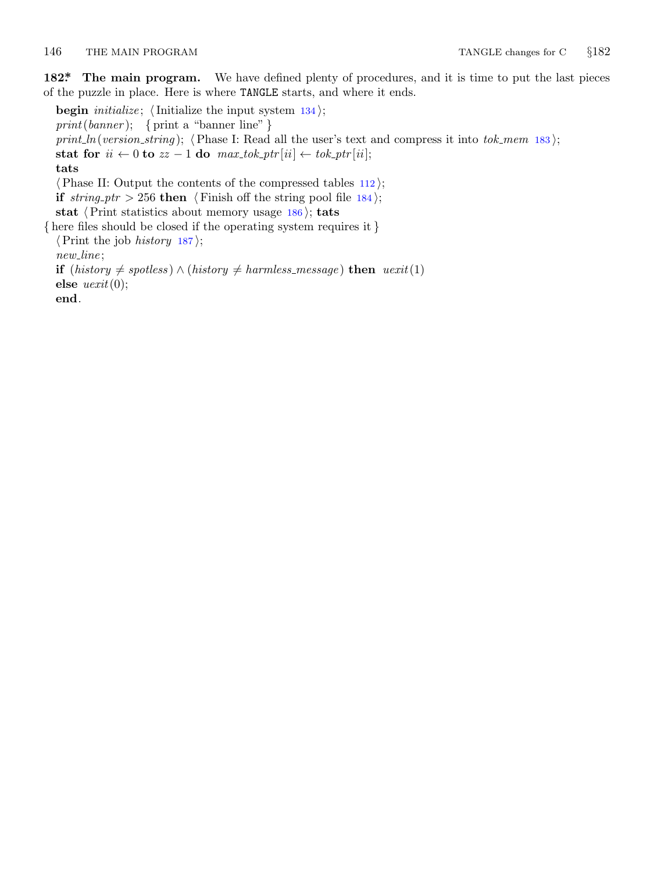# <span id="page-21-0"></span>146 THE MAIN PROGRAM TANGLE changes for C *§*182

**182\*. The main program.** We have defined plenty of procedures, and it is time to put the last pieces of the puzzle in place. Here is where TANGLE starts, and where it ends.

**begin** *initialize* ; *⟨*Initialize the input system 134 *⟩*; *print*(*banner* ); *{* print a "banner line" *} print ln*(*version string* ); *⟨*Phase I: Read all the user's text and compress it into *tok mem* 183 *⟩*; **stat for**  $ii \leftarrow 0$  **to**  $zz - 1$  **do**  $max\_tok\_ptr[i] \leftarrow tok\_ptr[i];$ **tats** *⟨*Phase II: Output the contents of the compressed tables 112 *⟩*; **if**  $string\_ptr > 256$  **then**  $\langle$  Finish off the string pool file 184 $\rangle$ ; **stat** *⟨*Print statistics about memory usage 186 *⟩*; **tats** *{* here files should be closed if the operating system requires it *} ⟨*Print the job *history* 187 *⟩*; *new line* ; **if** (*history*  $\neq$  *spotless*) *∧* (*history*  $\neq$  *harmless\_message*) **then** *uexit*(1) **else** *uexit*(0); **end**.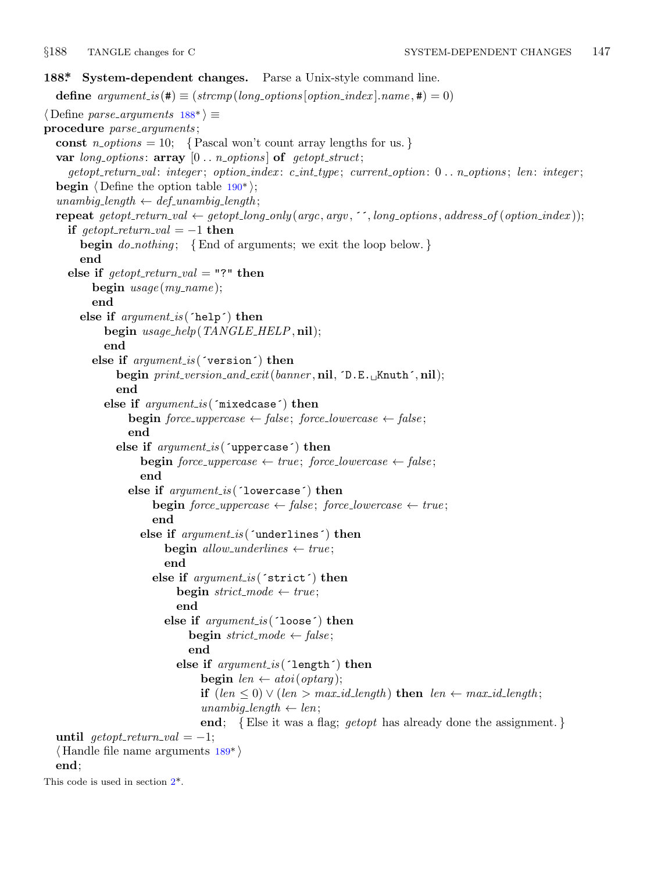<span id="page-22-0"></span>

```
188*. System-dependent changes. Parse a Unix-style command line.
  define p(long-options[option_index].name, \textbf{\#}) = 0)⟨ Define parse arguments 188* ⟩ ≡
procedure parse arguments ;
  const n\_options = 10; {Pascal won't count array lengths for us.}
  var long options : array [0 . . n options ] of getopt struct;
     getopt return val : integer ; option index : c int type ; current option: 0 . . n options ; len: integer ;
  begin \langle Define the option table 190<sup>*</sup>);
  unambig_length \leftarrow def_ unambig length;repeat getopt_return_val \leftarrow getopt_long_only(argc, argv, '', long_options, address_of(option_index));
    if qetopt\_return\_val = -1 then
       begin do nothing ; {End of arguments; we exit the loop below. }
       end
    else if \text{getopt-return\_val} = "?" then
         begin usage (my name );
         end
       else if argument is (´help´) then
           begin usage help(TANGLE HELP, nil);
           end
         else if argument is (´version´) then
              begin print version and exit(banner , nil, ´D.E.␣Knuth´, nil);
              end
            else if argument is (´mixedcase´) then
                begin force\_uppercase \leftarrow false; force\_lowercase \leftarrow false;
                end
              else if argument is (´uppercase´) then
                   begin force\_uppercase \leftarrow true; force\_lowercase \leftarrow false;
                   end
                 else if argument is (´lowercase´) then
                     begin force\_uppercase \leftarrow false; force\_lowercase \leftarrow true;
                     end
                   else if argument is (´underlines´) then
                       begin allow\_underlines \leftarrow true;end
                     else if argument is (´strict´) then
                          begin strict mode ← true ;
                          end
                       else if argument is (´loose´) then
                             begin strict \rightarrow false;
                             end
                          else if argument is (´length´) then
                               begin len \leftarrow \text{atoi}(\text{optarg});
                               if (len ≤ 0) ∨ (len > max_id_length) then len ← max_id_length;unambig_length \leftarrow len;end; {Else it was a flag; getopt has already done the assignment. }
  until \text{getopt}\_\text{return}\_\text{val} = -1;⟨ Handle file name arguments 189* ⟩
  end;
This code is used in section 2*.
```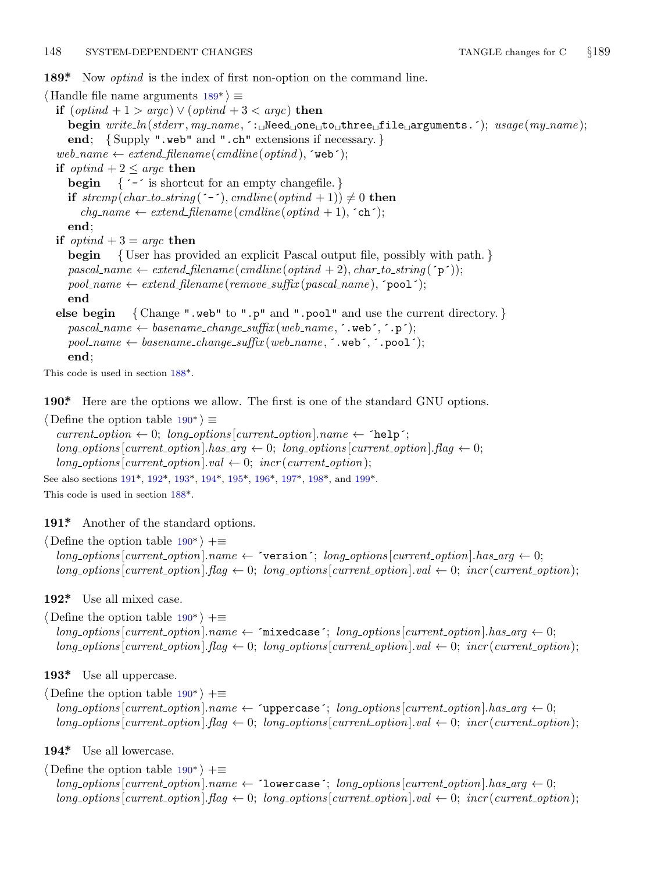# <span id="page-23-0"></span>148 SYSTEM-DEPENDENT CHANGES TANGLE changes for C *§*189

**189\*.** Now *optind* is the index of first non-option on the command line.

*⟨* Handle file name arguments 189\* *⟩ ≡* **if** (*optind* + 1 *> argc*) *∨* (*optind* + 3 *< argc*) **then begin** *write ln*(*stderr , my name ,* ´:␣Need␣one␣to␣three␣file␣arguments.´); *usage* (*my name* ); **end**; *{* Supply ".web" and ".ch" extensions if necessary. *}*  $web_name \leftarrow extend\_filename(cmdline(optind), \text{`web'});$ **if**  $\text{optind} + 2 \leq \text{argc}$  **then begin** *{* ´−´ is shortcut for an empty changefile. *}* **if**  $strcmp(char_to\_string($ <sup>−−</sup> $)$ </sup>*,*  $cmdline($ *optind* + 1))  $\neq$  0 **then**  $chg_name \leftarrow extend\_filename(cmdline(optind + 1), \text{`ch'});$ **end**; **if**  $optind + 3 = \text{argc}$  **then begin** *{* User has provided an explicit Pascal output file, possibly with path. *}*  $pascal_name \leftarrow extend$  *filename* (*cmdline* (*optind* + 2)*, char-to-string* (´p´));  $pool_name \leftarrow extend\_filename(remove\_suffix(pascal_name), \text{'}pool');$  $pool_name \leftarrow extend\_filename(remove\_suffix(pascal_name), \text{'}pool');$  $pool_name \leftarrow extend\_filename(remove\_suffix(pascal_name), \text{'}pool');$ **end else begin** *{* Change ".web" to ".p" and ".pool" and use the current directory. *}*  $pascal_name \leftarrow baseline{\text{-}change\_change\_suffix(web_name, \cdot, web^{\text{-}}, p^{\text{-}});}$  $pool_name \leftarrow baseline{\text{-}change{\text{-}}suffix(web{\text{-}}name{\text{-}}{\text{-}}{}\\web^{\text{-}}{\text{-}}{}\\web^{\text{-}}{\text{-}};$ **end**; This code is used in section 188\*.

**190\*.** Here are the opt[ions](#page-22-0) we all[ow.](#page-24-0) [The](#page-24-0) fi[rst](#page-24-0) is [one](#page-24-0) of t[he st](#page-24-0)andard GNU options.

```
⟨ Define the option table 190* ⟩ ≡
  current\_option \leftarrow 0; long\_options[current\_option].name \leftarrow 'help';long\_options[current\_option].has\_arg \leftarrow 0; long\_options[current\_option].flag \leftarrow 0;long\_\textit{options} [current_option].val \leftarrow 0; incr (current_option);
See also sections 191*, 192*, 193*, 194*, 195*, 196*, 197*, 198*, and 199*.
This code is used in section 188*.
```
**191\*.** Another of the standard options.

*⟨* Define the option table 190\* *⟩* +*≡*  $long\_options$  [*current\_option*]*.name*  $\leftarrow$   $\lceil$  version $\lceil$ ; *long\_options* [*current\_option*]*.has\_arg*  $\leftarrow$  0;  $long\_options$  [*current\_option*]*.flag*  $\leftarrow 0$ ; *long\_options* [*current\_option*]*.val*  $\leftarrow 0$ ; *incr* (*current\_option*);

**192\*.** Use all mixed case.

*⟨* Define the option table 190\* *⟩* +*≡*  $long-options[current\_option].name \leftarrow$   $\lceil \text{mixedcase} \rceil$ ;  $long\_options[current\_option].has\_arg \leftarrow 0$ ;  $long\_options$  [ $current\_option$ ]*.* $flag \leftarrow 0$ ;  $long\_options$  [ $current\_option$ ]*.val*  $\leftarrow 0$ ;  $incr$  ( $current\_option$ );

**193\*.** Use all uppercase.

*⟨* Define the option table 190\* *⟩* +*≡*  $long\_options$  [*current\_option*]*.name*  $\leftarrow$   ${\it 'uppercase'};$   $long\_options$  [*current\_option*]*.has\_arg*  $\leftarrow 0;$  $\langle \textit{long}_\textit{} \textit{out} | \textit{out} | \textit{in} \rangle$   $\langle \textit{long}_\textit{} \textit{out} | \textit{out} | \textit{out} \rangle$   $\langle \textit{out} | \textit{out} | \textit{out} \rangle$ ;

**194\*.** Use all lowercase.

*⟨* Define the option table 190\* *⟩* +*≡*  $long-options[current\_option].name \leftarrow 'lowercase'; long\_options[current\_option].has\_arg \leftarrow 0;$  $long\_options$  [current\_option].  $flag \leftarrow 0$ ;  $long\_options$  [current\_option].  $val \leftarrow 0$ ;  $incr$  (current\_option);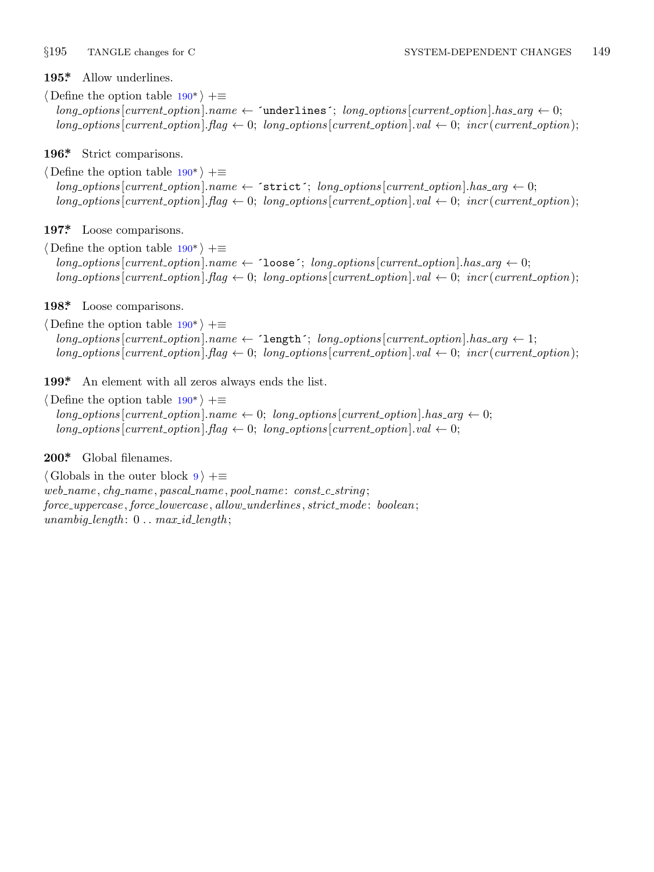<span id="page-24-0"></span>

**195\*.** Allow underlines.

*⟨* Define the option table [190](#page-23-0)\* *⟩* +*≡*  $long\_options$  [*current\_option*]*.name*  $\leftarrow$  ´underlines´; *long\_options* [*current\_option*]*.has\_arg*  $\leftarrow 0$ ;  $long\_{optim}$  [*current\_option*]*.flag*  $\leftarrow 0$ ; *long\_options* [*current\_option*]*.val*  $\leftarrow 0$ ; *incr* (*current\_option*);

**196\*.** Strict comparison[s.](#page-23-0)

*⟨* Define the option table 190\* *⟩* +*≡*  $long\rightarrow$   $points[current\_\textit{option}]$ *.name*  $\leftarrow$   $`strict'; long\_\textit{option}[current\_\textit{option}]$ *.has*  $arg \leftarrow 0;$  $long\_options$  [ $current\_option$ ]*.* $flag \leftarrow 0$ ;  $long\_options$  [ $current\_option$ ]*.val*  $\leftarrow 0$ ;  $incr$  ( $current\_option$ );

**197\*.** Loose comparison[s.](#page-23-0)

*⟨* Define the option table 190\* *⟩* +*≡*  $long-options$  [*current\_option*]*.name*  $\leftarrow$  ´loose´; *long\_options* [*current\_option*]*.has\_arg*  $\leftarrow 0$ ;  $long_$ <sup>*options*</sup> $|current_$ *option* $|$ *.flag*  $\leftarrow 0$ ;  $long_$ *options* $|current_$ *option* $|$ *.val*  $\leftarrow 0$ ;  $|iner(current_$ );

**198\*.** Loose comparison[s.](#page-23-0)

*⟨* Define the option table 190\* *⟩* +*≡*  $long\rightarrow$   $1;$   $long\rightarrow$   $1;$   $long\rightarrow$   $1;$   $long\rightarrow$   $1;$   $long\rightarrow$   $1;$   $long\rightarrow$   $1;$  $long\_options[current\_option]$ *.flag*  $\leftarrow 0$ ;  $long\_options[current\_option]$ *.val*  $\leftarrow 0$ ; *incr*(*current\_option*);

**199\*.** An element with all zeros always ends the list.

*⟨* Define the option table 190\* *⟩* +*≡*  $long\_options$  [*current\_option*]*.name*  $\leftarrow 0$ ; *long\_options* [*current\_option*]*.has\_arg*  $\leftarrow 0$ ;  $long\_options[current\_option].flag \leftarrow 0; long\_options[current\_option].val \leftarrow 0;$ 

**200\*.** Global filenames.

*⟨* Globals in the outer block 9 *⟩* +*≡ web name , chg name , pascal name , pool name* : *const c string* ; *force uppercase , force lowercase , allow underlines , strict mode* : *boolean*;  $unambig_length: 0... max_id_length;$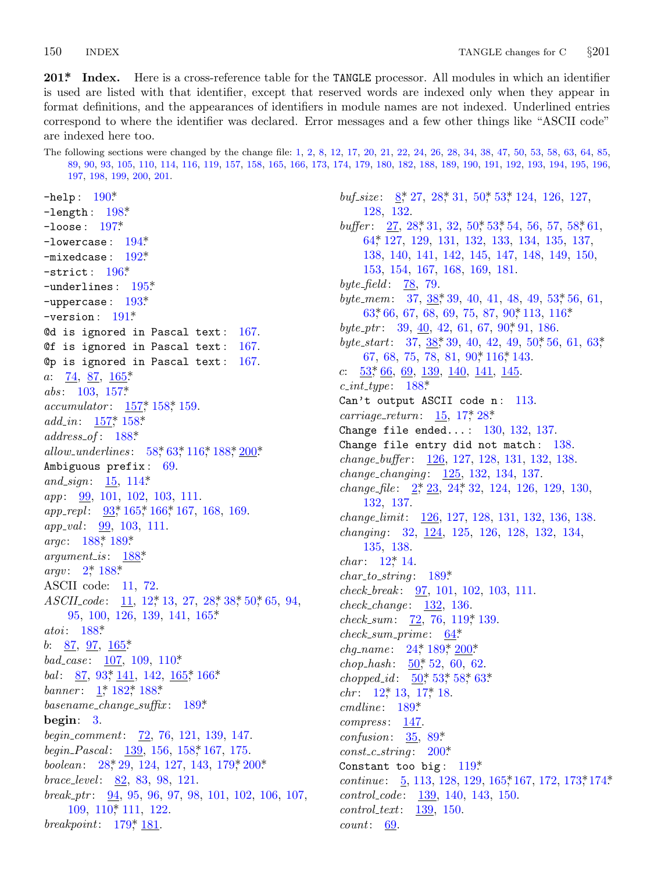<span id="page-25-0"></span>150 **INDEX** 

201\* Index. Here is a cross-reference table for the TANGLE processor. All modules in which an identifier is used are listed with that identifier, except that reserved words are indexed only when they appear in format definitions, and the appearances of identifiers in module names are not indexed. Underlined entries correspond to where the identifier was declared. Error messages and a few other things like "ASCII code" are indexed here too.

The following sections were changed by the change file: 1, 2, 8, 12, 17, 20, 21, 22, 24, 26, 28, 34, 38, 47, 50, 53, 58, 63, 64, 85, 89, 90, 93, 105, 110, 114, 116, 119, 157, 158, 165, 166, 173, 174, 179, 180, 182, 188, 189, 190, 191, 192, 193, 194, 195, 196, 197, 198, 199, 200, 201. -help:  $190^*$ buf size:  $8^*$  27, 28<sup> $*$ </sup> 31, 50<sup> $*$ </sup> 53<sup> $*$ </sup> 124, 126, 127,  $-length: 198*$ 128, 132.

 $-$ loose:  $197*$  $-$ lowercase:  $194*$  $-mixedcase: 192*$  $-$ strict:  $196*$ -underlines:  $195*$  $-$ uppercase:  $193*$  $-version: 191*$ Od is ignored in Pascal text: 167. Of is ignored in Pascal text:  $167$ . Op is ignored in Pascal text:  $167$ . *a*:  $\frac{74}{9}, \frac{87}{9}, \frac{165}{9}$ abs:  $103, 157$ \*  $accumulator: \frac{157}{158}, \frac{158}{159}.$  $add\_in: 157^* 158^*$  $address\_of: 188*$ allow\_underlines: 58, 63, 116, 188, 200\* Ambiguous prefix: 69. and\_sign:  $15, 114*$ *app*: **99**, 101, 102, 103, 111. app\_repl:  $93$ <sup>\*</sup>, 165<sup>\*</sup>, 166<sup>\*</sup>, 167, 168, 169. *app\_val*: <u>99</u>, 103, 111. argc: 188\* 189\*  $argument_is: 188*$ argv:  $2^* 188^*$ ASCII code: 11, 72. *ASCIL*code: 11, 12, 13, 27, 28, 38, 50, 65, 94,  $95, 100, 126, 139, 141, 165*$ atoi:  $188*$ b:  $87, 97, 165$ \*  $bad\_case: 107, 109, 110*$ *bal*: <u>87</u>, 93<sup>\*</sup>, 141, 142, 165<sup>\*</sup>, 166<sup>\*</sup> banner:  $1, 182, 188$ \*  $basename\_change\_suffix: 189*$ begin:  $3$ . *begin\_comment:* 72, 76, 121, 139, 147. begin\_Pascal: 139, 156, 158, 167, 175. boolean:  $28, 29, 124, 127, 143, 179, 200$ \* *brace\_level*:  $82, 83, 98, 121$ . break\_ptr:  $94, 95, 96, 97, 98, 101, 102, 106, 107,$  $109, 110, 111, 122.$ breakpoint:  $179$ <sup>\*</sup>,  $181$ .

buffer:  $27, 28, 31, 32, 50, 53, 54, 56, 57, 58, 61,$ 64,\* 127, 129, 131, 132, 133, 134, 135, 137, 138, 140, 141, 142, 145, 147, 148, 149, 150, 153, 154, 167, 168, 169, 181. byte\_field:  $\frac{78}{5}$ , 79. byte\_mem:  $37, 38, 39, 40, 41, 48, 49, 53, 56, 61,$ 63, 66, 67, 68, 69, 75, 87, 90, 113, 116\* byte\_ptr:  $39, 40, 42, 61, 67, 90$ \* 91, 186. byte\_start:  $37, 38, 39, 40, 42, 49, 50, 56, 61, 63,$ 67, 68, 75, 78, 81, 90, 116, 143.  $53$ <sup>\*</sup>, 66, 69, 139, 140, 141, 145  $\overline{c}$ :  $c\_int\_type: 188*$ Can't output ASCII code n: 113. *carriage\_return:*  $15, 17, 28$ \* Change file ended...:  $130, 132, 137$ . Change file entry did not match: 138. change\_buffer: 126, 127, 128, 131, 132, 138.  $change\_changing: \underline{125}, 132, 134, 137.$ *change\_file*:  $2, \frac{2}{3}, \frac{23}{4}, \frac{24}{32}, \frac{124}{126}, \frac{129}{130}, \frac{130}{6}$ 132, 137. *change\_limit:* 126, 127, 128, 131, 132, 136, 138. changing: 32, 124, 125, 126, 128, 132, 134, 135, 138. *char*:  $12^{*}$  14.  $char\_to\_string: 189*$ check\_break: 97, 101, 102, 103, 111.  $check\_change: 132, 136.$  $check\_sum$ : 72, 76, 119, 139.  $check\_sum\_prime$ : 64\* *chg\_name*:  $24$ <sup>\*</sup>,  $189$ <sup>\*</sup>,  $200$ <sup>\*</sup> chop\_hash:  $50$ <sup>\*</sup>, 52, 60, 62. chopped\_id:  $50^*$ , 53\*, 58\*, 63\* *chr*:  $12^*$ ,  $13$ ,  $17^*$ ,  $18$ .  $cmdline: 189*$  $compress: 147.$ confusion:  $35, 89$ <sup>\*</sup>  $const_c\_string: 200*$ Constant too big:  $119*$ *continue*:  $\frac{5}{9}$ , 113, 128, 129, 165, 167, 172, 173, 174\*  $control\_code: 139, 140, 143, 150.$  $control{\_}text{:}139, 150.$  $count: 69.$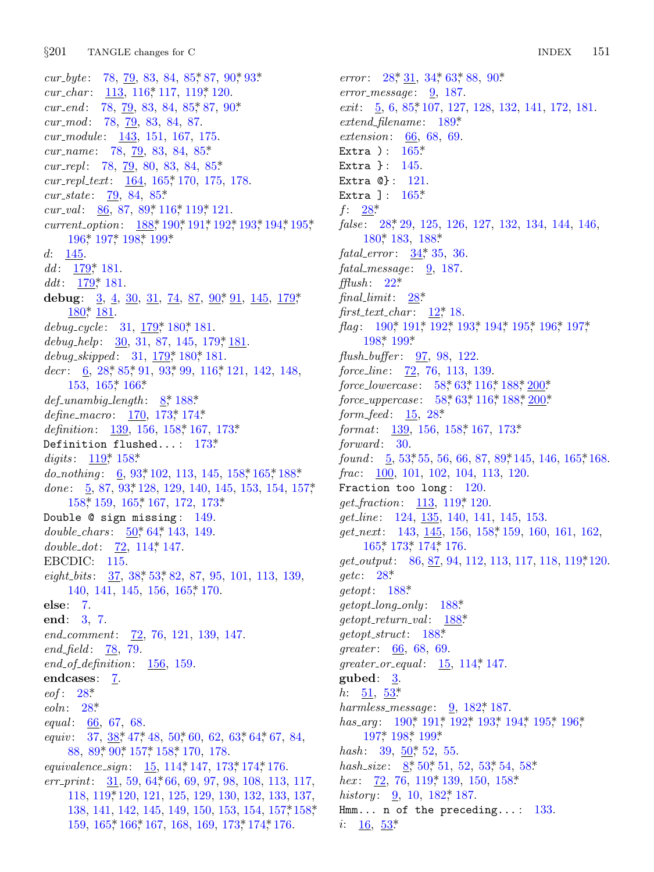cur\_byte:  $78, 79, 83, 84, 85, 87, 90, 93$ \* cur\_char:  $113, 116, 117, 119, 120$ . cur\_end:  $78, 79, 83, 84, 85, 87, 90$ \*  $cur_{mod}: 78, 79, 83, 84, 87.$  $cur\_module: \quad \underline{143}, \; 151, \; 167, \; 175.$ *cur\_name*: 78, 79, 83, 84, 85\*  $cur\_repl$ : 78, 79, 80, 83, 84, 85\*  $cur\_repl\_text$ :  $\underline{164}$ ,  $165$ ,  $170$ ,  $175$ ,  $178$ .  $cur\_state: 79, 84, 85*$ cur\_val:  $86, 87, 89, 116, 119, 121$ . current\_option: 188,\* 190,\* 191,\* 192,\* 193,\* 194,\* 195,\* 196,\* 197,\* 198,\* 199\* 145.  $d$ :  $dd: \frac{179}{151}.$ ddt:  $179$ <sup>\*</sup>, 181. debug:  $\frac{3}{4}$ ,  $\frac{4}{30}$ ,  $\frac{31}{14}$ ,  $\frac{74}{13}$ ,  $\frac{87}{10}$ ,  $\frac{90^*}{11}$ ,  $\frac{145}{145}$ ,  $\frac{179^*}{179^*}$  $180$ <sup>\*</sup>, 181. debug\_cycle:  $31, 179, 180, 181$ . debug\_help:  $\frac{30}{31}$ , 87, 145, 179, 181. debug\_skipped:  $31, 179, 180, 181$ . decr:  $6, 28, 85, 91, 93, 99, 116, 121, 142, 148,$  $153, 165$ <sup>\*</sup>,  $166$ <sup>\*</sup>  $def\_unambig\_length: \quad \underline{8}; \; 188*$ define\_macro:  $170, 173, 174$ \* *definition*:  $139, 156, 158, 167, 173$ <sup>\*</sup> Definition flushed...:  $173$ <sup>\*</sup> digits:  $119^*$ ,  $158^*$ do\_nothing:  $\underline{6}$ , 93,\*102, 113, 145, 158,\*165,\*188.\* done:  $\frac{5}{9}$ , 87, 93, 128, 129, 140, 145, 153, 154, 157,  $158$ <sup>\*</sup>,  $159$ ,  $165$ <sup>\*</sup>,  $167$ ,  $172$ ,  $173$ <sup>\*</sup> Double @ sign missing: 149. double\_chars:  $\underline{50}$ , 64, 143, 149. double\_dot:  $72, 114, 147$ .  $EBCDIC: 115.$ eight\_bits: 37, 38\* 53\* 82, 87, 95, 101, 113, 139, 140, 141, 145, 156, 165, 170.  $else: 7.$ end: 3, 7.  $end_{comment}$ :  $\frac{72}{76}$ , 76, 121, 139, 147. *end\_field*:  $78, 79$ . end\_of\_definition:  $156, 159$ . endcases: 7. eof:  $28^*$  $\mathit{eoln}: 28$ <sup>\*</sup> *equal*: 66, 67, 68. equiv: 37,  $38$ <sup>\*</sup>, 47<sup>\*</sup>, 48, 50<sup>\*</sup>, 60, 62, 63<sup>\*</sup>, 64<sup>\*</sup>, 67, 84, 88, 89, 90, 157, 158, 170, 178. equivalence\_sign: 15, 114, 147, 173, 174, 176.  $err\_print:$  31, 59, 64, 66, 69, 97, 98, 108, 113, 117, 118, 119, 120, 121, 125, 129, 130, 132, 133, 137, 138, 141, 142, 145, 149, 150, 153, 154, 157, 158, 159, 165, 166, 167, 168, 169, 173, 174, 176.

error:  $28^*$ ,  $31$ ,  $34^*$ ,  $63^*$ ,  $88$ ,  $90^*$  $error\_message: \quad 9, 187.$ exit:  $5, 6, 85, 107, 127, 128, 132, 141, 172, 181.$  $extend\_filename: 189*$ *extension:* 66, 68, 69. Extra ):  $165^*$ Extra  $\}$ : 145. Extra  $\mathbb{Q}$ : 121. Extra ]:  $165*$  $f: 28^*$ false: 28, 29, 125, 126, 127, 132, 134, 144, 146, 180\* 183, 188\*  $fatal_error: 34, 35, 36.$  $\text{fatal\_message:} \quad \underline{9}, \ 187.$  $\text{flux}h: 22^*$ final\_limit:  $28^*$ first\_text\_char:  $12^*$  18. flag: 190,\* 191,\* 192,\* 193,\* 194,\* 195,\* 196,\* 197,\*  $198*199*$  $flush_buffer: 97, 98, 122.$ force\_line: 72, 76, 113, 139. force\_lowercase: 58\* 63\* 116\* 188\* 200\* force\_uppercase:  $58$ <sup>\*</sup>,  $63$ <sup>\*</sup>,  $116$ <sup>\*</sup>,  $188$ <sup>\*</sup>,  $200$ <sup>\*</sup> *form\_feed*:  $15, 28^*$ format:  $\frac{139}{156}$ , 158, 158, 167, 173\*  $forward: 30.$ found:  $\frac{5}{9}$ , 53, 55, 56, 66, 87, 89, 145, 146, 165, 168.  $frac: 100, 101, 102, 104, 113, 120.$ Fraction too long:  $120$ . *get\_fraction*: <u>113</u>, 119, 120.  $get\_line: 124, 135, 140, 141, 145, 153.$  $get.next: 143, 145, 156, 158, 159, 160, 161, 162,$  $165$ <sup>\*</sup>,  $173$ <sup>\*</sup>,  $174$ <sup>\*</sup>,  $176$ .  $get\_output$ : 86, 87, 94, 112, 113, 117, 118, 119\*120. *getc*:  $28^*$  $\text{getopt}: 188^*$  $getopt\_long\_only: 188*$  $qetopt_r return_value: 188*$  $getopt\_struct: 188*$ greater:  $66, 68, 69$ . greater\_or\_equal:  $15, 114, 147$ . gubed:  $3$ . *h*:  $51, 53^*$ harmless\_message:  $9, 182, 187$ . has\_arq:  $190^*$  191\* 192\* 193\* 194\* 195\* 196\* 197\* 198\* 199\* hash:  $39, 50, 52, 55$ . hash\_size:  $8, 50, 51, 52, 53, 54, 58$ hex:  $\frac{72}{76}$ ,  $\frac{76}{119}$ ,  $\frac{139}{130}$ ,  $\frac{150}{158}$ *history*:  $\frac{9}{2}$ , 10, 182, 187. Hmm... n of the preceding...:  $133$ .

*i*:  $\frac{16}{53}$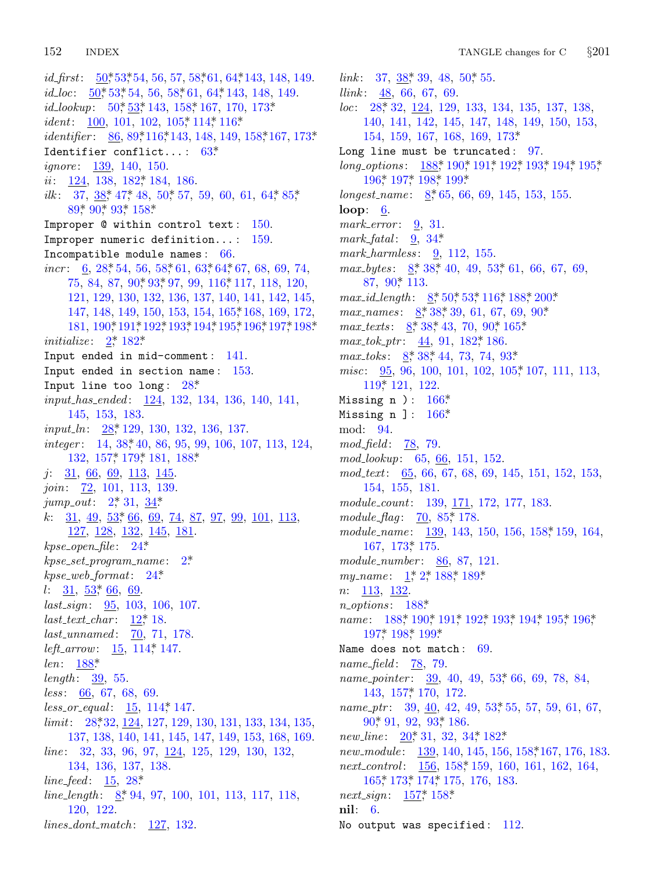id\_first:  $\frac{50}{53}$ , 53, 54, 56, 57, 58, 61, 64, 143, 148, 149. *id\_loc*:  $\underline{50}$ <sup>\*</sup>, 53<sup>\*</sup>, 54<sup>\*</sup>, 56<sup>\*</sup>, 58<sup>\*</sup>, 61<sup>\*</sup>, 64<sup>\*</sup>, 143<sup>\*</sup>, 148<sup>\*</sup>, 149<sup>\*</sup>. id\_lookup:  $50^*$  53\* 143, 158\* 167, 170, 173\* *ident*: 100, 101, 102, 105, 114, 116\* *identifier*: <u>86, 89\*116\*143, 148, 149, 158\*167, 173\*</u> Identifier conflict...:  $63^*$ *ignore*: 139, 140, 150.  $ii: 124, 138, 182, 184, 186.$ ilk:  $37, 38, 47, 48, 50, 57, 59, 60, 61, 64, 85,$  $89*90*93*158*$ Improper  $@$  within control text:  $150.$ Improper numeric definition...:  $159$ . Incompatible module names: 66. *incr*:  $\underline{6}$ , 28, 54, 56, 58, 61, 63, 64, 67, 68, 69, 74, 75, 84, 87, 90, 93, 97, 99, 116, 117, 118, 120, 121, 129, 130, 132, 136, 137, 140, 141, 142, 145, 147, 148, 149, 150, 153, 154, 165, 168, 169, 172, 181, 190\* 191\* 192\* 193\* 194\* 195\* 196\* 197\* 198\* *initialize:*  $2^*$  182\* Input ended in mid-comment: 141. Input ended in section name: 153. Input line too long:  $28^*$ *input\_has\_ended:* 124, 132, 134, 136, 140, 141, 145, 153, 183. *input\_ln*:  $28$ <sup>\*</sup>, 129, 130, 132, 136, 137.  $integer: 14, 38, 40, 86, 95, 99, 106, 107, 113, 124,$  $132, 157, 179, 181, 188$ <sup>\*</sup>  $j: 31, 66, 69, 113, 145.$ join: 72, 101, 113, 139.  $jump_out: 2, 31, 34$ k:  $31, 49, 53, 66, 69, 74, 87, 97, 99, 101, 113,$ 127, 128, 132, 145, 181.  $kpse\_open\_file: 24*$  $kpc\_set\_program\_name: 2^*$  $k$ pse\_web\_format: 24\*  $l: \frac{31}{2}, \frac{53}{2}, \frac{66}{2}.$  $last\_sign: \underline{95}, 103, 106, 107.$  $last\_text\_char: 12^*18.$  $last\_unnamed: 70, 71, 178.$ *left\_arrow:*  $15, 114, 147$ .  $len: 188*$ *length*:  $\frac{39}{55}$ .  $less: 66, 67, 68, 69.$  $less\_or\_equal: 15, 114, 147.$ limit: 28,\*32, 124, 127, 129, 130, 131, 133, 134, 135, 137, 138, 140, 141, 145, 147, 149, 153, 168, 169. *line*: 32, 33, 96, 97,  $124$ , 125, 129, 130, 132, 134, 136, 137, 138. *line\_feed*:  $15, 28^*$ *line\_length*:  $8, 94, 97, 100, 101, 113, 117, 118,$ 120, 122.  $lines\_dont\_match:$   $127, 132.$ 

link:  $37, 38, 39, 48, 50, 55$ . *llink*:  $\frac{48}{5}$ , 66, 67, 69.  $loc: 28, 32, 124, 129, 133, 134, 135, 137, 138,$ 140, 141, 142, 145, 147, 148, 149, 150, 153, 154, 159, 167, 168, 169, 173\* Long line must be truncated:  $97$ . long\_options:  $188$ , 190, 191, 192, 193, 194, 195, 196\* 197\* 198\* 199\* longest\_name:  $8,65,66,69,145,153,155$ . loop:  $6.$ mark\_error:  $9, 31$ . mark\_fatal:  $9, 34$ \* mark\_harmless: 9, 112, 155.  $max_b}{y$ tes:  $8, 38, 40, 49, 53, 61, 66, 67, 69,$ 87, 90\* 113.  $max\_id\_length \colon \quad \underline{8}, 50, 53, 116, 188, 200$ max\_names:  $8, 38, 39, 61, 67, 69, 90$ \* max\_texts:  $8, 38, 43, 70, 90, 165$ \*  $max\_tok\_ptr$ :  $44, 91, 182, 186$ .  $max\_toks$ :  $8, 38, 44, 73, 74, 93$ \* misc: 95, 96, 100, 101, 102, 105, 107, 111, 113, 119\* 121, 122. Missing n ):  $166*$ Missing  $n$  ]:  $166*$ mod: 94.  $mod\_field:$   $\overline{78}$ , 79.  $mod\_lookup: 65, 66, 151, 152.$  $mod\_text$ : 65, 66, 67, 68, 69, 145, 151, 152, 153, 154, 155, 181. module\_count: 139, 171, 172, 177, 183. module\_flag:  $\overline{70}$ , 85, 178. module\_name: 139, 143, 150, 156, 158, 159, 164, 167, 173, 175. module\_number:  $86, 87, 121$ . my\_name:  $1, 2, 188, 189$  $n: \underline{113}, \underline{132}.$  $n\_options: 188*$ *name*:  $188$ <sup>\*</sup>,  $190$ <sup>\*</sup>,  $191$ <sup>\*</sup>,  $192$ <sup>\*</sup>,  $193$ <sup>\*</sup>,  $194$ <sup>\*</sup>,  $195$ <sup>\*</sup>,  $196$ <sup>\*</sup>,  $197^*$  198<sup>\*</sup> 199<sup>\*</sup> Name does not match: 69.  $name_{field}:$  78, 79. name\_pointer: 39, 40, 49, 53, 66, 69, 78, 84, 143, 157, 170, 172. name\_ptr:  $39, 40, 42, 49, 53, 55, 57, 59, 61, 67,$  $90^*$  91, 92, 93<sup>\*</sup> 186. new\_line:  $20^*31$ , 32, 34, 182\* new\_module: 139, 140, 145, 156, 158, 167, 176, 183. *next\_control:* 156, 158\* 159, 160, 161, 162, 164,  $165$ <sup>\*</sup>,  $173$ <sup>\*</sup>,  $174$ <sup>\*</sup>,  $175$ ,  $176$ ,  $183$ . *next\_sign*:  $157^*$  158\*  $\textbf{nil}: 6.$ No output was specified: 112.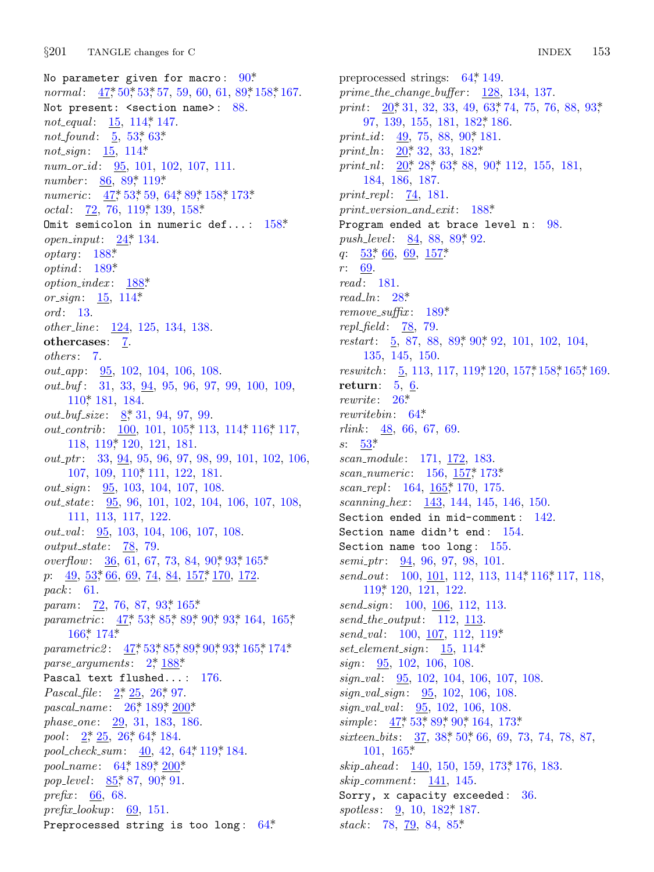No parameter given for macro:  $90*$ *normal*:  $47, 50, 53, 57, 59, 60, 61, 89, 158, 167.$ Not present: < section name>: 88. not\_equal: 15, 114, 147. *not\_found*:  $\underline{5}$ , 53,\* 63\* *not\_sign*:  $15, 114*$  $num\_or\_id$ :  $95, 101, 102, 107, 111$ . number: 86, 89,\* 119\* *numeric*:  $47, 53, 59, 64, 89, 158, 173$  $octal: 72, 76, 119*139, 158*$ Omit semicolon in numeric def...:  $158*$ *open\_input*:  $24$ <sup>\*</sup>, 134.  $optarg: 188*$  $optind: 189*$  $option\_index: 188*$ or\_sign:  $15, 114*$ *ord*: 13. other\_line: 124, 125, 134, 138. othercases: 7. others: 7.  $out\_app$ :  $95, 102, 104, 106, 108$ . out\_buf: 31, 33, 94, 95, 96, 97, 99, 100, 109, 110\* 181, 184. *out\_buf\_size*:  $8, 31, 94, 97, 99$ . *out\_contrib*: 100, 101, 105, 113, 114, 116, 117, 118, 119, 120, 121, 181.  $out\_ptr$ : 33, 94, 95, 96, 97, 98, 99, 101, 102, 106, 107, 109, 110, 111, 122, 181. *out\_sign*: 95, 103, 104, 107, 108. *out\_state*: 95, 96, 101, 102, 104, 106, 107, 108, 111, 113, 117, 122. out\_val: 95, 103, 104, 106, 107, 108.  $output\_state: 78, 79.$ overflow: 36, 61, 67, 73, 84, 90\* 93\* 165\*  $p: \quad 49, \; 53, \; 66, \; 69, \; 74, \; 84, \; 157, \; 170, \; 172.$ pack: 61. param: 72, 76, 87, 93, 165\* parametric: 47, 53, 85, 89, 90, 93, 164, 165,  $166*174*$ parametric2:  $47, 53, 85, 89, 90, 93, 165, 174.$ parse\_arguments:  $2^*$  188\* Pascal text flushed...: 176. *Pascal\_file*:  $2, \overline{25}$ ,  $26, \overline{97}$ . pascal\_name:  $26^*$ , 189<sup>\*</sup>, 200<sup>\*</sup> phase\_one: 29, 31, 183, 186. *pool*:  $2, \ 25, \ 26, \ 64, \ 184.$ pool\_check\_sum: 40, 42, 64, 119, 184. pool\_name: 64,\* 189,\* 200.\* pop\_level: 85,\* 87, 90,\* 91. *prefix*:  $\underline{66}$ , 68.  $prefix\_lookup: 69, 151.$ Preprocessed string is too long:  $64*$ 

preprocessed strings:  $64$ <sup>\*</sup>, 149.  $prime\_the\_change\_buffer:$   $128, 134, 137.$ print:  $20^*31$ , 32, 33, 49, 63<sup>\*</sup>, 74, 75, 76, 88, 93<sup>\*</sup>, 97, 139, 155, 181, 182, 186. print id:  $49, 75, 88, 90, 181$ . print\_ln:  $20^*32$ , 33, 182\* print\_nl:  $\underline{20}$ ,  $28$ ,  $63$ ,  $88$ ,  $90$ ,  $112$ ,  $155$ ,  $181$ , 184, 186, 187. *print\_repl:*  $\frac{74}{181}$ .  $print\_version\_and\_exit: 188*$ Program ended at brace level n: 98. *push\_level:* 84, 88, 89, 92.  $q: 53, 66, 69, 157$  $r: 69.$  $read: 181.$  $read\_ln: 28^*$  $remove\_suffix: 189*$ repl\_field:  $\frac{78}{79}$ . restart:  $\underline{5}$ , 87, 88, 89, 90, 92, 101, 102, 104, 135, 145, 150. reswitch:  $\frac{5}{9}$ , 113, 117, 119, 120, 157, 158, 165, 169. return:  $5, 6$ . rewrite:  $26^*$ *rewritebin*:  $64^*$ *rlink*:  $\frac{48}{500}$ , 66, 67, 69.  $s: 53^*$ scan\_module: 171, 172, 183. scan\_numeric:  $156, 157, 173$ \* scan\_repl:  $164, 165$ \* 170, 175. scanning\_hex: 143, 144, 145, 146, 150. Section ended in mid-comment:  $142$ . Section name didn't end:  $154$ . Section name too long:  $155$ .  $semiptr: 94, 96, 97, 98, 101.$ send\_out: 100, 101, 112, 113, 114, 116, 117, 118, 119, 120, 121, 122. send\_sign: 100, 106, 112, 113.  $send\_the\_output:$  112, 113. send\_val: 100, 107, 112, 119\* *set\_element\_sign*:  $15, 114$ <sup>\*</sup> *sign*:  $\frac{95}{95}$ , 102, 106, 108.  $signal: 95, 102, 104, 106, 107, 108.$  $sign\_val\_sign:$   $95, 102, 106, 108.$ sign\_val\_val: 95, 102, 106, 108. simple:  $47^*$  53\* 89\* 90\* 164, 173\* *sixteen\_bits*: 37, 38, 50, 66, 69, 73, 74, 78, 87,  $101, 165*$ skip\_ahead: 140, 150, 159, 173,\* 176, 183.  $skip\_component: 141, 145.$ Sorry, x capacity exceeded:  $36$ .

spotless: 9, 10, 182,\* 187. stack: 78, 79, 84, 85\*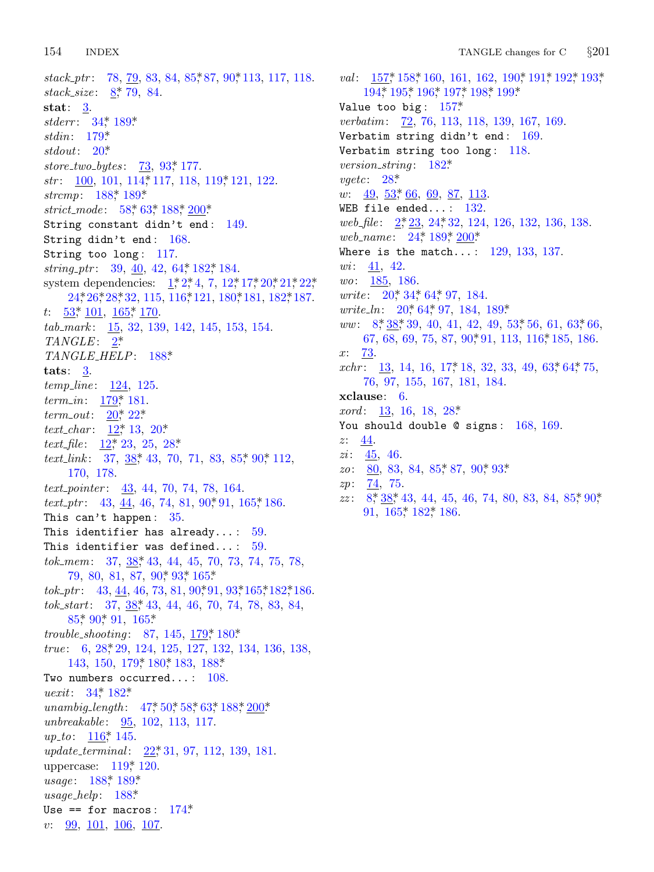$stack\_ptr: 78, 79, 83, 84, 85, 87, 90, 113, 117, 118.$  $stack\_size: 8, 79, 84.$ stat:  $3$ . stderr: 34\* 189\* stdin:  $179^*$ stdout:  $20^*$ store\_two\_bytes:  $73, 93, 177$ .  $str: 100, 101, 114, 117, 118, 119, 121, 122.$ strcmp: 188,\* 189.\* strict\_mode:  $58*63*188*200*$ String constant didn't end: 149. String didn't end: 168. String too  $long: 117$ . string\_ptr:  $39, 40, 42, 64, 182, 184$ . system dependencies:  $1, 2, 4, 7, 12, 17, 20, 21, 22,$ 24, 26, 28, 32, 115, 116, 121, 180, 181, 182, 187.  $t: \frac{53}{101}, \frac{165}{162}, \frac{170}{170}.$ tab\_mark: 15, 32, 139, 142, 145, 153, 154.  $TANGLE: 2*$ TANGLE\_HELP: 188\* tats:  $\frac{3}{2}$ . *temp\_line*:  $124, 125$ .  $term_in: 179, 181.$  $term\_out: 20^* 22^*$  $text_{char}: 12^*13, 20^*$ text\_file:  $12^*23$ , 25, 28\* *text\_link*:  $37, 38, 43, 70, 71, 83, 85, 90, 112,$ 170, 178.  $text\_pointer: 43, 44, 70, 74, 78, 164.$ *text\_ptr*: 43,  $\underline{44}$ , 46, 74, 81, 90, 91, 165, 186. This can't happen:  $35$ . This identifier has already...:  $59$ . This identifier was defined...:  $59$ . tok\_mem:  $37, 38, 43, 44, 45, 70, 73, 74, 75, 78,$ 79, 80, 81, 87, 90, 93, 165\*  $tok_1 \cdot ptr$ : 43, 44, 46, 73, 81, 90, 91, 93, 165, 182, 186. tok\_start: 37, 38, 43, 44, 46, 70, 74, 78, 83, 84, 85\* 90\* 91, 165\* trouble\_shooting: 87, 145, 179,\* 180\* true:  $6, 28, 29, 124, 125, 127, 132, 134, 136, 138,$ 143, 150, 179, 180, 183, 188\* Two numbers occurred...:  $108$ . *uexit*:  $34^* 182^*$ unambig\_length: 47,\* 50,\* 58,\* 63,\* 188,\* 200\* unbreakable:  $95, 102, 113, 117$ .  $up\_to: 116$ , 145. update\_terminal: 22, 31, 97, 112, 139, 181. uppercase:  $119$ <sup>\*</sup>, 120. usage: 188\* 189\*  $usage\_help: 188*$ Use == for macros:  $174$ <sup>\*</sup>  $v: \frac{99}{101}, \frac{106}{106}, \frac{107}{107}.$ 

val:  $157$ , 158, 160, 161, 162, 190, 191, 192, 193, 194, 195, 196, 197, 198, 199, Value too big:  $157$ <sup>\*</sup> verbatim: 72, 76, 113, 118, 139, 167, 169. Verbatim string didn't end: 169. Verbatim string too long:  $118$ . *version\_string*:  $182^*$  $\textit{vgetc}: 28^*$ *w*:  $\frac{49}{53}$ ,  $\frac{53}{66}$ ,  $\frac{69}{67}$ ,  $\frac{87}{113}$ . WEB file ended...:  $132$ . web\_file: 2,\*23, 24,\*32, 124, 126, 132, 136, 138. web\_name: 24, 189, 200\* Where is the match...:  $129, 133, 137$ .  $wi: 41, 42.$  $wo: 185, 186.$ *write*:  $20^* 34^* 64^* 97$ , 184. *write\_ln:*  $20^*$  64<sup>\*</sup>, 97, 184, 189<sup>\*</sup>  $ww: 8, 38, 39, 40, 41, 42, 49, 53, 56, 61, 63, 66,$ 67, 68, 69, 75, 87, 90, 91, 113, 116, 185, 186.  $x: 73$  $xchr: 13, 14, 16, 17, 18, 32, 33, 49, 63, 64, 75,$ 76, 97, 155, 167, 181, 184.  $x$ clause:  $6.$ *xord*:  $\frac{13}{16}$ , 16, 18, 28\* You should double  $@$  signs:  $168, 169$ .  $z: \underline{44}$ . *zi*:  $\frac{45}{9}$ , 46.  $zo: 80, 83, 84, 85, 87, 90, 93$  $zp: 74, 75.$  $zz: 8, 38, 43, 44, 45, 46, 74, 80, 83, 84, 85, 90,$ 91, 165, 182, 186.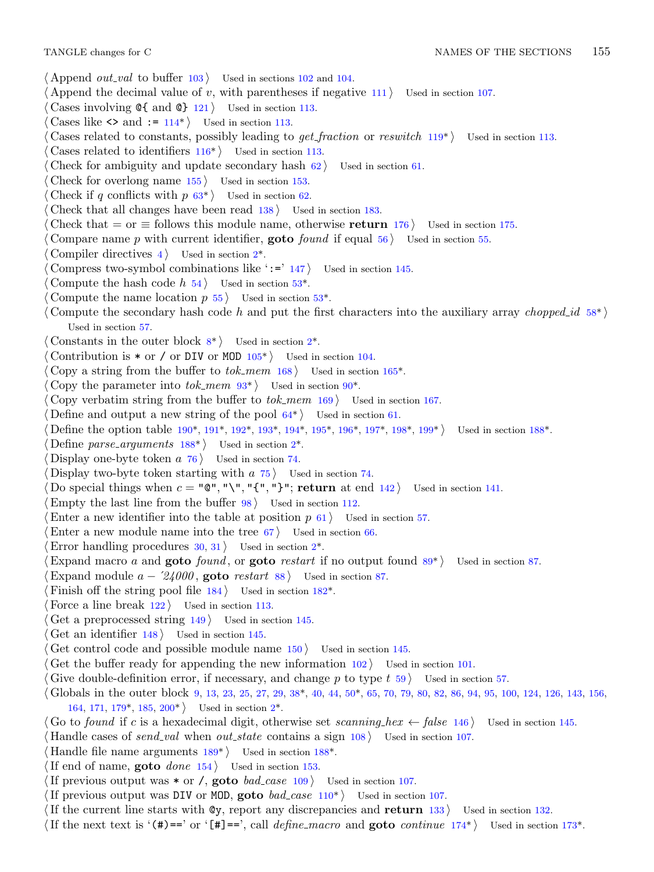- *⟨* Append *out val* to buffer 103 *⟩* Used in sections 102 and 104.
- *Append the decimal value of <i>v*, with parentheses if negative  $111$  *\* Used in section 107.
- *⟨* Cases involving @{ and @} [12](#page-8-0)1 *⟩* Used in section 113.
- Cases like  $\langle \rangle$  and  $:= 114^*$  Used in section 113.
- *⟨* Cases related to constants, possibly leading to *get fraction* or *reswitch* 119\* *⟩* Used in section 113.
- *⟨* Cases related to identifiers 116\* *⟩* Used in section 113.
- *Check for ambiguity a[nd](#page-1-0) update secondary hash*  $62$  *<i>Vsed in section* 61.
- *⟨* Check for overlong name 155 *⟩* Used in section 153.
- Check if *q* conflicts with  $p \, 63^*$  $p \, 63^*$  $p \, 63^*$  Used in section 62.
- *Check that all changes have been read*  $138$  */* Use[d in](#page-7-0) section 183.
- *Check that* = or  $\equiv$  follows this module name, otherwise **return** 176 *\* Used in section 175.
- *⟨* Compare name *p* with current identifier, **goto** *found* if equal 56 *⟩* Used in section 55.
- *⟨* Compiler directives 4 *⟩* Used [in](#page-1-0) section 2\*.
- *Compress two-symbol combinations l[ike](#page-13-0) ':=' 147 <i>\* Used in section 145.
- Compute the hash code  $h$  54  $\rangle$  Used in section 53<sup>\*</sup>.
- Compute the name location  $p \, 55$  [U](#page-12-0)sed in section 53<sup>\*</sup>.
- *⟨* Compute the secondary hash code *h* and put the first characters into the auxiliary array *chopped id* 58\* *⟩* Used in section 57.
- *Constants in the outer [bloc](#page-23-0)k*  $8^*$  *Vsed [in](#page-23-0) se[ction](#page-23-0) 2<sup>\*</sup>.*
- Contribution is  $*$  or / or [DI](#page-22-0)V or MOD  $105^*$  [Us](#page-1-0)ed in section 104.
- *⟨* Copy a string from the buffer to *tok mem* 168 *⟩* Used in section 165\*.
- Copy the parameter into  $tok\_mem$  93\* *\* Used in section 90<sup>\*</sup>.
- *⟨* Copy verbatim string from the buffer to *tok mem* 169 *⟩* Used in section 167.
- Define and output a new string of the pool  $64^*$  Used in section 61.
- *⟨* Define the option table 190\*, 191\*, 192\*, 193\*, 194\*, 195\*, 196\*, 197\*, 198\*, 199\* *⟩* Used in section 188\*.
- *Define parse\_arguments*  $188^*$  Used in section  $2^*$ .
- Display one-byte token  $a \ 76$  Used in section 74.
- Display two-byte token starting with  $a$  75  $\}$  Used in section 74.
- Do special things when  $c = "\mathbb{Q}"$ , " $\mathcal{N}"$ , " $\mathcal{N}"$ , " $\mathcal{N}"$ ; **return** at end 142 *\* Used in section 141.
- *<u>Empty</u>* the last line from the buffer  $98$  */* Used in s[ectio](#page-21-0)n 112.
- Enter a new identifier into the table at position  $p \tbinom{61}{}$  Used in section 57.
- Enter a new module name into the tree  $67$  *\* Used in section  $66$ .
- *Error handling procedures* 30, 31 *a* Used in section 2<sup>\*</sup>.
- *⟨*Expand macro *a* and **goto** *found* , or **goto** *restart* if no output found 89\* *⟩* Used in section 87.
- Expand module  $a \frac{24000}{9}$ , goto *restart* 88  $\}$  Used in section 87.
- *Finish off the string pool file 184 Vsed in section 182\**.
- *Force a line break*  $122$  */* Used in section 113.
- *⟨* Get a prep[roce](#page-20-0)ssed s[trin](#page-24-0)g 149 *⟩* Used in s[ect](#page-1-0)ion 145.
- *⟨* Get an identifier 148 *⟩* Used in section 145.
- *Cet control code and possible module name*  $150$  *<i>Vsed in section 145.*
- Get the buffer ready for app[end](#page-23-0)ing the new infor[mat](#page-22-0)ion  $102$  *\* Used in section 101.
- *Give double-definition error, if necessary, and change <i>p* to type *t* 59 *a* Used in section 57.
- *⟨* Globals in the outer block 9, 13, 23, 25, 27, 29, 38\*, 40, 44, 50\*, 65, 70, 79, 80, 82, 86, 94, 95, 100, 124, 126, 143, 156, 164, 171, 179\*, 185, 200\* *⟩* Used in section 2\*.
- *⟨* Go to *found* if *c* is a hexadecimal digit, otherwise set *scanning hex ← false* 146 *⟩* Used in section 145.
- *⟨* Handle cases of *send val* when *out state* contains a sign 108 *⟩* Used in section [10](#page-19-0)7.
- *Handle file name arguments*  $189^*$  *Used in section*  $188^*$ *.*
- *⟨*If end of name, **goto** *done* 154 *⟩* Used in section 153.
- If previous output was  $*$  or /, **goto** *bad\_case* 109  $\}$  Used in section 107.
- If previous output was DIV or MOD, goto *bad\_case*  $110^*$  *\* Used in section 107.
- *⟨*If the current line starts with @y, report any discrepancies and **return** 133 *⟩* Used in section 132.
- *⟨*If the next text is '(#)==' or '[#]==', call *define macro* and **goto** *continue* 174\* *⟩* Used in section 173\*.